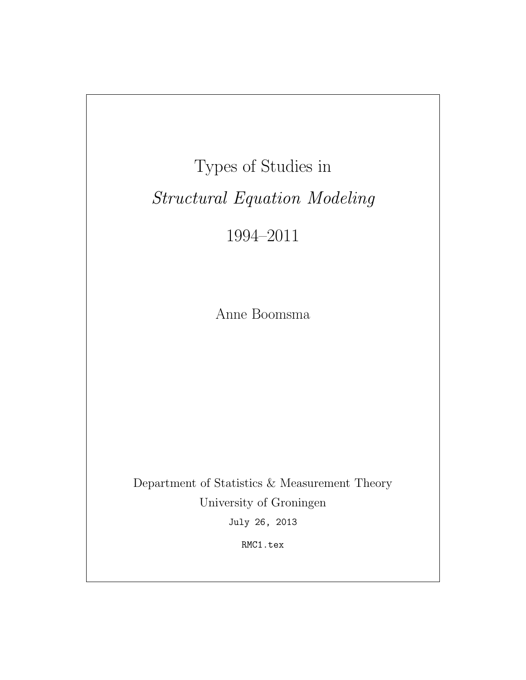Types of Studies in Structural Equation Modeling

1994–2011

Anne Boomsma

Department of Statistics & Measurement Theory University of Groningen July 26, 2013

RMC1.tex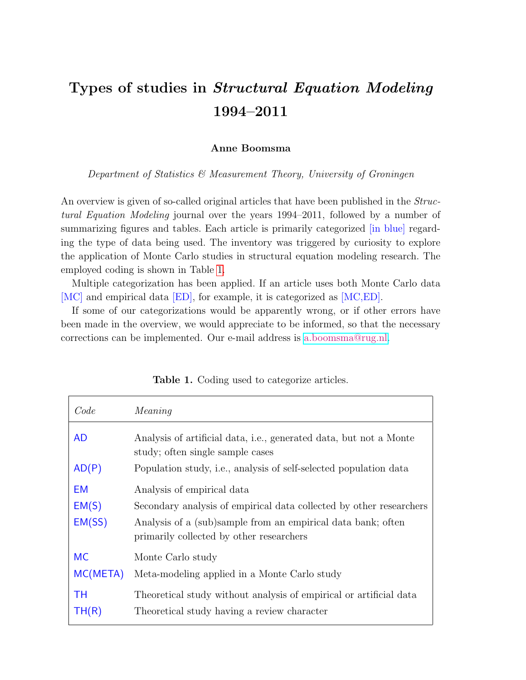# Types of studies in Structural Equation Modeling 1994–2011

# Anne Boomsma

Department of Statistics & Measurement Theory, University of Groningen

An overview is given of so-called original articles that have been published in the *Struc*tural Equation Modeling journal over the years 1994–2011, followed by a number of summarizing figures and tables. Each article is primarily categorized [in blue] regarding the type of data being used. The inventory was triggered by curiosity to explore the application of Monte Carlo studies in structural equation modeling research. The employed coding is shown in Table [1.](#page-1-0)

Multiple categorization has been applied. If an article uses both Monte Carlo data [MC] and empirical data [ED], for example, it is categorized as [MC,ED].

If some of our categorizations would be apparently wrong, or if other errors have been made in the overview, we would appreciate to be informed, so that the necessary corrections can be implemented. Our e-mail address is [a.boomsma@rug.nl.](mailto:a.boomsma@rug.nl)

| Code                  | Meaning                                                                                                                                                                                                       |
|-----------------------|---------------------------------------------------------------------------------------------------------------------------------------------------------------------------------------------------------------|
| <b>AD</b>             | Analysis of artificial data, i.e., generated data, but not a Monte<br>study; often single sample cases                                                                                                        |
| AD(P)                 | Population study, i.e., analysis of self-selected population data                                                                                                                                             |
| EM<br>EM(S)<br>EM(SS) | Analysis of empirical data<br>Secondary analysis of empirical data collected by other researchers<br>Analysis of a (sub)sample from an empirical data bank; often<br>primarily collected by other researchers |
| <b>MC</b><br>MC(META) | Monte Carlo study<br>Meta-modeling applied in a Monte Carlo study                                                                                                                                             |
| TН<br>TH(R)           | Theoretical study without analysis of empirical or artificial data<br>Theoretical study having a review character                                                                                             |

<span id="page-1-0"></span>Table 1. Coding used to categorize articles.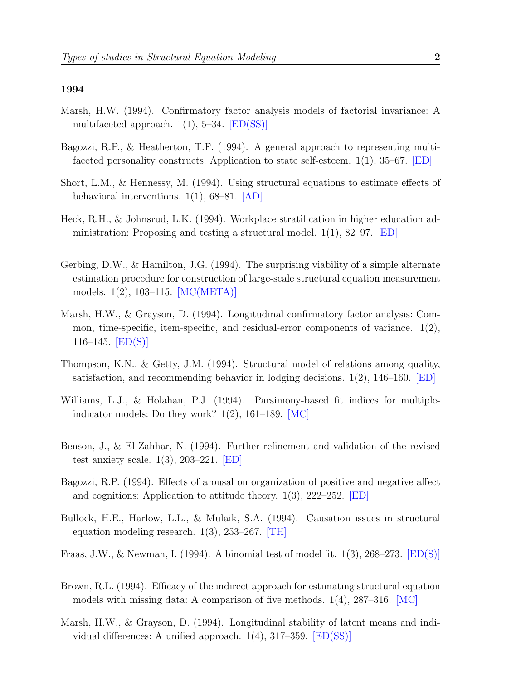- Marsh, H.W. (1994). Confirmatory factor analysis models of factorial invariance: A multifaceted approach.  $1(1)$ , 5–34. [ED(SS)]
- Bagozzi, R.P., & Heatherton, T.F. (1994). A general approach to representing multifaceted personality constructs: Application to state self-esteem.  $1(1)$ ,  $35-67$ . [ED]
- Short, L.M., & Hennessy, M. (1994). Using structural equations to estimate effects of behavioral interventions. 1(1), 68–81. [AD]
- Heck, R.H., & Johnsrud, L.K. (1994). Workplace stratification in higher education administration: Proposing and testing a structural model.  $1(1)$ , 82–97. [ED]
- Gerbing, D.W., & Hamilton, J.G. (1994). The surprising viability of a simple alternate estimation procedure for construction of large-scale structural equation measurement models. 1(2), 103–115. [MC(META)]
- Marsh, H.W., & Grayson, D. (1994). Longitudinal confirmatory factor analysis: Common, time-specific, item-specific, and residual-error components of variance.  $1(2)$ , 116–145.  $[ED(S)]$
- Thompson, K.N., & Getty, J.M. (1994). Structural model of relations among quality, satisfaction, and recommending behavior in lodging decisions. 1(2), 146–160. [ED]
- Williams, L.J., & Holahan, P.J. (1994). Parsimony-based fit indices for multipleindicator models: Do they work?  $1(2)$ ,  $161-189$ . [MC]
- Benson, J., & El-Zahhar, N. (1994). Further refinement and validation of the revised test anxiety scale.  $1(3)$ , 203–221. [ED]
- Bagozzi, R.P. (1994). Effects of arousal on organization of positive and negative affect and cognitions: Application to attitude theory. 1(3), 222–252. [ED]
- Bullock, H.E., Harlow, L.L., & Mulaik, S.A. (1994). Causation issues in structural equation modeling research.  $1(3)$ ,  $253-267$ . [TH]
- Fraas, J.W., & Newman, I. (1994). A binomial test of model fit. 1(3), 268–273. [ED(S)]
- Brown, R.L. (1994). Efficacy of the indirect approach for estimating structural equation models with missing data: A comparison of five methods.  $1(4)$ ,  $287-316$ . [MC]
- Marsh, H.W., & Grayson, D. (1994). Longitudinal stability of latent means and individual differences: A unified approach. 1(4), 317–359. [ED(SS)]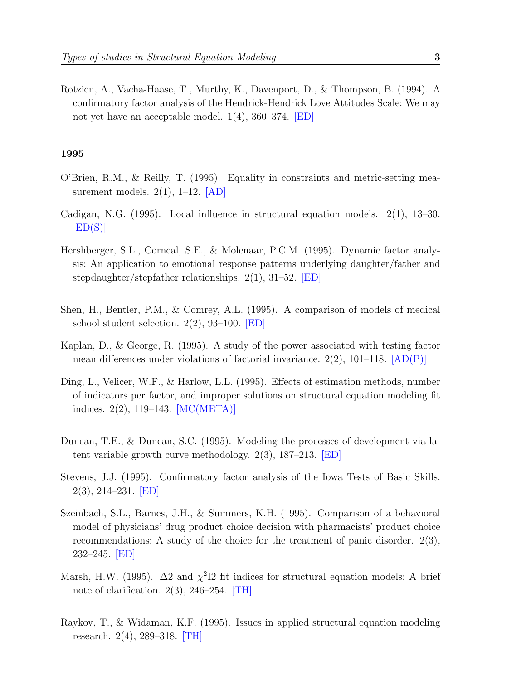Rotzien, A., Vacha-Haase, T., Murthy, K., Davenport, D., & Thompson, B. (1994). A confirmatory factor analysis of the Hendrick-Hendrick Love Attitudes Scale: We may not yet have an acceptable model. 1(4), 360–374. [ED]

- O'Brien, R.M., & Reilly, T. (1995). Equality in constraints and metric-setting measurement models.  $2(1)$ , 1–12.  $|AD|$
- Cadigan, N.G. (1995). Local influence in structural equation models. 2(1), 13–30.  $|ED(S)|$
- Hershberger, S.L., Corneal, S.E., & Molenaar, P.C.M. (1995). Dynamic factor analysis: An application to emotional response patterns underlying daughter/father and stepdaughter/stepfather relationships. 2(1), 31–52. [ED]
- Shen, H., Bentler, P.M., & Comrey, A.L. (1995). A comparison of models of medical school student selection. 2(2), 93–100. [ED]
- Kaplan, D., & George, R. (1995). A study of the power associated with testing factor mean differences under violations of factorial invariance.  $2(2)$ ,  $101-118$ .  $[AD(P)]$
- Ding, L., Velicer, W.F., & Harlow, L.L. (1995). Effects of estimation methods, number of indicators per factor, and improper solutions on structural equation modeling fit indices. 2(2), 119–143. [MC(META)]
- Duncan, T.E., & Duncan, S.C. (1995). Modeling the processes of development via latent variable growth curve methodology. 2(3), 187–213. [ED]
- Stevens, J.J. (1995). Confirmatory factor analysis of the Iowa Tests of Basic Skills. 2(3), 214–231. [ED]
- Szeinbach, S.L., Barnes, J.H., & Summers, K.H. (1995). Comparison of a behavioral model of physicians' drug product choice decision with pharmacists' product choice recommendations: A study of the choice for the treatment of panic disorder. 2(3), 232–245. [ED]
- Marsh, H.W. (1995).  $\Delta 2$  and  $\chi^2$ I2 fit indices for structural equation models: A brief note of clarification.  $2(3)$ ,  $246-254$ . [TH]
- Raykov, T., & Widaman, K.F. (1995). Issues in applied structural equation modeling research. 2(4), 289–318. [TH]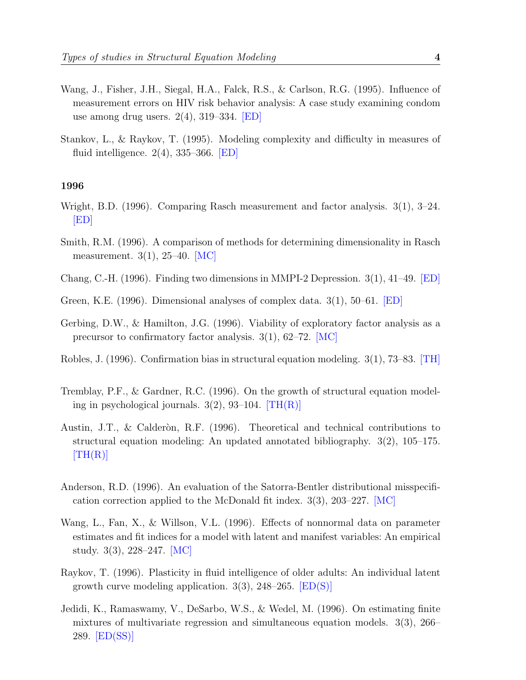- Wang, J., Fisher, J.H., Siegal, H.A., Falck, R.S., & Carlson, R.G. (1995). Influence of measurement errors on HIV risk behavior analysis: A case study examining condom use among drug users.  $2(4)$ ,  $319-334$ . **ED**
- Stankov, L., & Raykov, T. (1995). Modeling complexity and difficulty in measures of fluid intelligence.  $2(4)$ , 335–366. [ED]

- Wright, B.D. (1996). Comparing Rasch measurement and factor analysis. 3(1), 3–24.  $|ED|$
- Smith, R.M. (1996). A comparison of methods for determining dimensionality in Rasch measurement. 3(1), 25–40. [MC]
- Chang, C.-H. (1996). Finding two dimensions in MMPI-2 Depression. 3(1), 41–49. [ED]
- Green, K.E. (1996). Dimensional analyses of complex data. 3(1), 50–61. [ED]
- Gerbing, D.W., & Hamilton, J.G. (1996). Viability of exploratory factor analysis as a precursor to confirmatory factor analysis.  $3(1)$ ,  $62-72$ . [MC]
- Robles, J. (1996). Confirmation bias in structural equation modeling. 3(1), 73–83. [TH]
- Tremblay, P.F., & Gardner, R.C. (1996). On the growth of structural equation modeling in psychological journals.  $3(2)$ ,  $93-104$ .  $[TH(R)]$
- Austin, J.T., & Calderon, R.F. (1996). Theoretical and technical contributions to structural equation modeling: An updated annotated bibliography. 3(2), 105–175.  $[TH(R)]$
- Anderson, R.D. (1996). An evaluation of the Satorra-Bentler distributional misspecification correction applied to the McDonald fit index. 3(3), 203–227. [MC]
- Wang, L., Fan, X., & Willson, V.L. (1996). Effects of nonnormal data on parameter estimates and fit indices for a model with latent and manifest variables: An empirical study. 3(3), 228–247. [MC]
- Raykov, T. (1996). Plasticity in fluid intelligence of older adults: An individual latent growth curve modeling application.  $3(3)$ ,  $248-265$ .  $\boxed{\text{ED}(S)}$
- Jedidi, K., Ramaswamy, V., DeSarbo, W.S., & Wedel, M. (1996). On estimating finite mixtures of multivariate regression and simultaneous equation models. 3(3), 266– 289. [ED(SS)]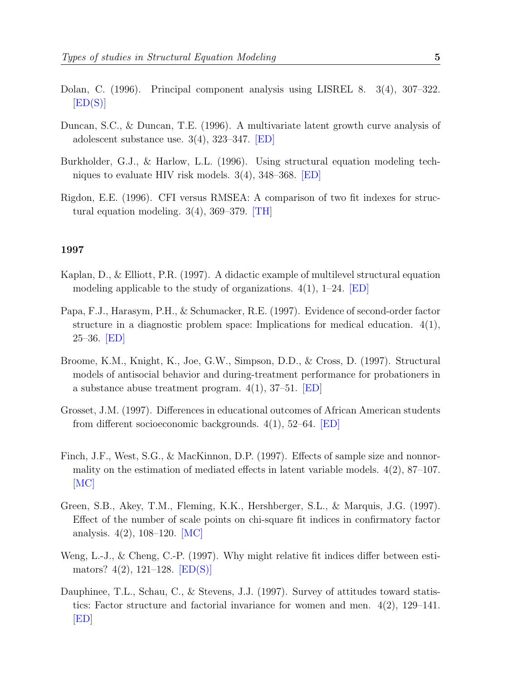- Dolan, C. (1996). Principal component analysis using LISREL 8. 3(4), 307–322.  $[ED(S)]$
- Duncan, S.C., & Duncan, T.E. (1996). A multivariate latent growth curve analysis of adolescent substance use.  $3(4)$ ,  $323-347$ . **[ED]**
- Burkholder, G.J., & Harlow, L.L. (1996). Using structural equation modeling techniques to evaluate HIV risk models. 3(4), 348–368. [ED]
- Rigdon, E.E. (1996). CFI versus RMSEA: A comparison of two fit indexes for structural equation modeling.  $3(4)$ ,  $369-379$ . [TH]

- Kaplan, D., & Elliott, P.R. (1997). A didactic example of multilevel structural equation modeling applicable to the study of organizations.  $4(1)$ ,  $1-24$ . [ED]
- Papa, F.J., Harasym, P.H., & Schumacker, R.E. (1997). Evidence of second-order factor structure in a diagnostic problem space: Implications for medical education.  $4(1)$ ,  $25-36.$  [ED]
- Broome, K.M., Knight, K., Joe, G.W., Simpson, D.D., & Cross, D. (1997). Structural models of antisocial behavior and during-treatment performance for probationers in a substance abuse treatment program.  $4(1)$ , 37–51. **[ED]**
- Grosset, J.M. (1997). Differences in educational outcomes of African American students from different socioeconomic backgrounds. 4(1), 52–64. [ED]
- Finch, J.F., West, S.G., & MacKinnon, D.P. (1997). Effects of sample size and nonnormality on the estimation of mediated effects in latent variable models.  $4(2)$ ,  $87-107$ .  $|MC|$
- Green, S.B., Akey, T.M., Fleming, K.K., Hershberger, S.L., & Marquis, J.G. (1997). Effect of the number of scale points on chi-square fit indices in confirmatory factor analysis.  $4(2)$ , 108–120. [MC]
- Weng, L.-J., & Cheng, C.-P. (1997). Why might relative fit indices differ between estimators?  $4(2)$ , 121–128. [ED(S)]
- Dauphinee, T.L., Schau, C., & Stevens, J.J. (1997). Survey of attitudes toward statistics: Factor structure and factorial invariance for women and men. 4(2), 129–141. [ED]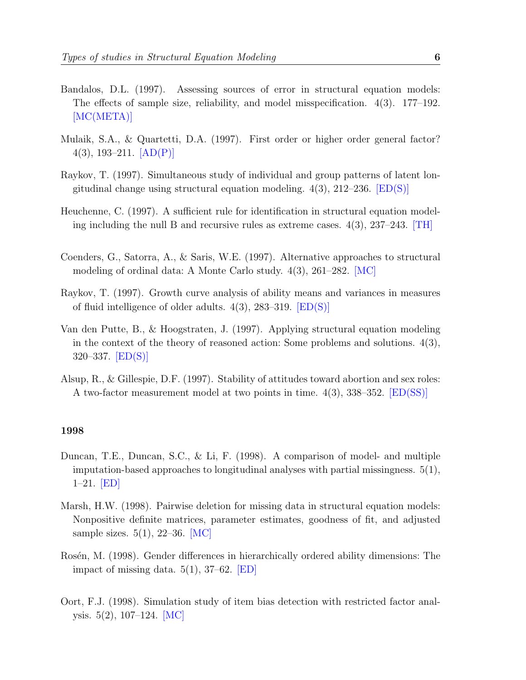- Bandalos, D.L. (1997). Assessing sources of error in structural equation models: The effects of sample size, reliability, and model misspecification. 4(3). 177–192. [MC(META)]
- Mulaik, S.A., & Quartetti, D.A. (1997). First order or higher order general factor? 4(3), 193-211.  $[AD(P)]$
- Raykov, T. (1997). Simultaneous study of individual and group patterns of latent longitudinal change using structural equation modeling.  $4(3)$ ,  $212-236$ . [ED(S)]
- Heuchenne, C. (1997). A sufficient rule for identification in structural equation modeling including the null B and recursive rules as extreme cases.  $4(3)$ ,  $237-243$ . [TH]
- Coenders, G., Satorra, A., & Saris, W.E. (1997). Alternative approaches to structural modeling of ordinal data: A Monte Carlo study. 4(3), 261–282. [MC]
- Raykov, T. (1997). Growth curve analysis of ability means and variances in measures of fluid intelligence of older adults.  $4(3)$ , 283–319.  $|ED(S)|$
- Van den Putte, B., & Hoogstraten, J. (1997). Applying structural equation modeling in the context of the theory of reasoned action: Some problems and solutions.  $4(3)$ ,  $320 - 337.$  [ED(S)]
- Alsup, R., & Gillespie, D.F. (1997). Stability of attitudes toward abortion and sex roles: A two-factor measurement model at two points in time. 4(3), 338–352. [ED(SS)]

- Duncan, T.E., Duncan, S.C., & Li, F. (1998). A comparison of model- and multiple imputation-based approaches to longitudinal analyses with partial missingness. 5(1), 1–21. [ED]
- Marsh, H.W. (1998). Pairwise deletion for missing data in structural equation models: Nonpositive definite matrices, parameter estimates, goodness of fit, and adjusted sample sizes.  $5(1)$ , 22–36. [MC]
- Rosén, M. (1998). Gender differences in hierarchically ordered ability dimensions: The impact of missing data.  $5(1)$ ,  $37-62$ . **ED**
- Oort, F.J. (1998). Simulation study of item bias detection with restricted factor analysis. 5(2), 107–124. [MC]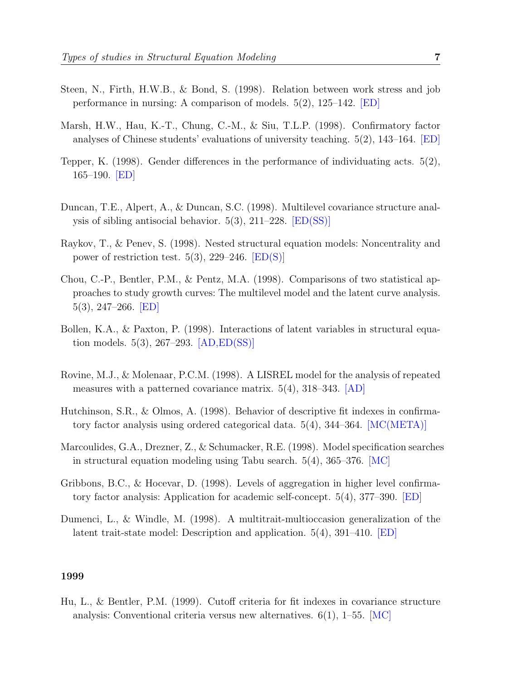- Steen, N., Firth, H.W.B., & Bond, S. (1998). Relation between work stress and job performance in nursing: A comparison of models. 5(2), 125–142. [ED]
- Marsh, H.W., Hau, K.-T., Chung, C.-M., & Siu, T.L.P. (1998). Confirmatory factor analyses of Chinese students' evaluations of university teaching. 5(2), 143–164. [ED]
- Tepper, K. (1998). Gender differences in the performance of individuating acts. 5(2), 165–190. [ED]
- Duncan, T.E., Alpert, A., & Duncan, S.C. (1998). Multilevel covariance structure analysis of sibling antisocial behavior. 5(3), 211–228. [ED(SS)]
- Raykov, T., & Penev, S. (1998). Nested structural equation models: Noncentrality and power of restriction test. 5(3), 229–246.  $[ED(S)]$
- Chou, C.-P., Bentler, P.M., & Pentz, M.A. (1998). Comparisons of two statistical approaches to study growth curves: The multilevel model and the latent curve analysis. 5(3), 247–266. [ED]
- Bollen, K.A., & Paxton, P. (1998). Interactions of latent variables in structural equation models. 5(3), 267–293. [AD,ED(SS)]
- Rovine, M.J., & Molenaar, P.C.M. (1998). A LISREL model for the analysis of repeated measures with a patterned covariance matrix. 5(4), 318–343. [AD]
- Hutchinson, S.R., & Olmos, A. (1998). Behavior of descriptive fit indexes in confirmatory factor analysis using ordered categorical data. 5(4), 344–364. [MC(META)]
- Marcoulides, G.A., Drezner, Z., & Schumacker, R.E. (1998). Model specification searches in structural equation modeling using Tabu search.  $5(4)$ ,  $365-376$ . [MC]
- Gribbons, B.C., & Hocevar, D. (1998). Levels of aggregation in higher level confirmatory factor analysis: Application for academic self-concept. 5(4), 377–390. [ED]
- Dumenci, L., & Windle, M. (1998). A multitrait-multioccasion generalization of the latent trait-state model: Description and application. 5(4), 391–410. [ED]

Hu, L., & Bentler, P.M. (1999). Cutoff criteria for fit indexes in covariance structure analysis: Conventional criteria versus new alternatives.  $6(1)$ , 1–55. [MC]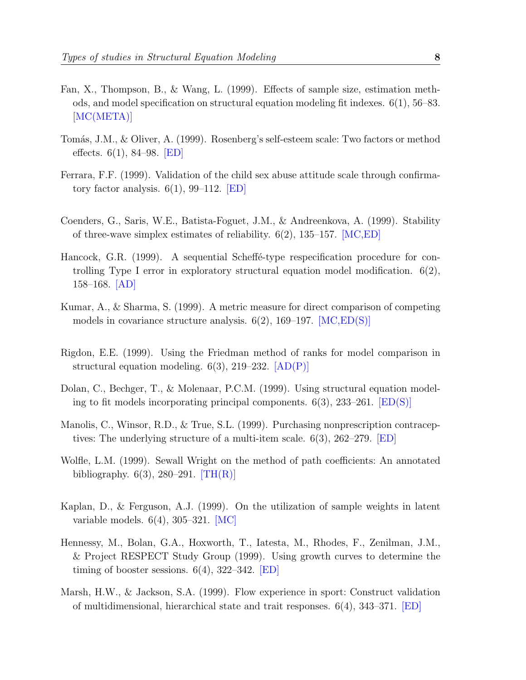- Fan, X., Thompson, B., & Wang, L. (1999). Effects of sample size, estimation methods, and model specification on structural equation modeling fit indexes. 6(1), 56–83. [MC(META)]
- Tomás, J.M., & Oliver, A. (1999). Rosenberg's self-esteem scale: Two factors or method effects.  $6(1)$ , 84–98. [ED]
- Ferrara, F.F. (1999). Validation of the child sex abuse attitude scale through confirmatory factor analysis.  $6(1)$ , 99–112. [ED]
- Coenders, G., Saris, W.E., Batista-Foguet, J.M., & Andreenkova, A. (1999). Stability of three-wave simplex estimates of reliability.  $6(2)$ , 135–157. [MC,ED]
- Hancock, G.R.  $(1999)$ . A sequential Scheff $\acute{e}$ -type respecification procedure for controlling Type I error in exploratory structural equation model modification.  $6(2)$ , 158–168. [AD]
- Kumar, A., & Sharma, S. (1999). A metric measure for direct comparison of competing models in covariance structure analysis.  $6(2)$ , 169–197. [MC,ED(S)]
- Rigdon, E.E. (1999). Using the Friedman method of ranks for model comparison in structural equation modeling.  $6(3)$ , 219–232.  $[AD(P)]$
- Dolan, C., Bechger, T., & Molenaar, P.C.M. (1999). Using structural equation modeling to fit models incorporating principal components.  $6(3)$ ,  $233-261$ .  $[ED(S)]$
- Manolis, C., Winsor, R.D., & True, S.L. (1999). Purchasing nonprescription contraceptives: The underlying structure of a multi-item scale. 6(3), 262–279. [ED]
- Wolfle, L.M. (1999). Sewall Wright on the method of path coefficients: An annotated bibliography.  $6(3)$ , 280–291. [TH(R)]
- Kaplan, D., & Ferguson, A.J. (1999). On the utilization of sample weights in latent variable models. 6(4), 305–321. [MC]
- Hennessy, M., Bolan, G.A., Hoxworth, T., Iatesta, M., Rhodes, F., Zenilman, J.M., & Project RESPECT Study Group (1999). Using growth curves to determine the timing of booster sessions.  $6(4)$ , 322–342. **ED**
- Marsh, H.W., & Jackson, S.A. (1999). Flow experience in sport: Construct validation of multidimensional, hierarchical state and trait responses. 6(4), 343–371. [ED]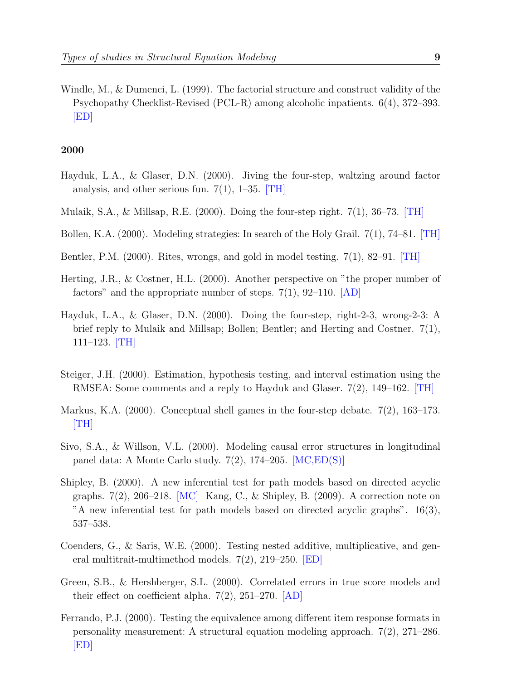Windle, M., & Dumenci, L. (1999). The factorial structure and construct validity of the Psychopathy Checklist-Revised (PCL-R) among alcoholic inpatients. 6(4), 372–393. [ED]

- Hayduk, L.A., & Glaser, D.N. (2000). Jiving the four-step, waltzing around factor analysis, and other serious fun.  $7(1)$ , 1–35. [TH]
- Mulaik, S.A., & Millsap, R.E. (2000). Doing the four-step right.  $7(1)$ , 36–73. [TH]
- Bollen, K.A. (2000). Modeling strategies: In search of the Holy Grail. 7(1), 74–81. [TH]
- Bentler, P.M. (2000). Rites, wrongs, and gold in model testing. 7(1), 82–91. [TH]
- Herting, J.R., & Costner, H.L. (2000). Another perspective on "the proper number of factors" and the appropriate number of steps.  $7(1)$ , 92–110. [AD]
- Hayduk, L.A., & Glaser, D.N. (2000). Doing the four-step, right-2-3, wrong-2-3: A brief reply to Mulaik and Millsap; Bollen; Bentler; and Herting and Costner. 7(1), 111–123. [TH]
- Steiger, J.H. (2000). Estimation, hypothesis testing, and interval estimation using the RMSEA: Some comments and a reply to Hayduk and Glaser. 7(2), 149–162. [TH]
- Markus, K.A. (2000). Conceptual shell games in the four-step debate. 7(2), 163–173. [TH]
- Sivo, S.A., & Willson, V.L. (2000). Modeling causal error structures in longitudinal panel data: A Monte Carlo study. 7(2), 174–205. [MC,ED(S)]
- Shipley, B. (2000). A new inferential test for path models based on directed acyclic graphs.  $7(2)$ , 206–218. [MC] Kang, C., & Shipley, B. (2009). A correction note on "A new inferential test for path models based on directed acyclic graphs". 16(3), 537–538.
- Coenders, G., & Saris, W.E. (2000). Testing nested additive, multiplicative, and general multitrait-multimethod models. 7(2), 219–250. [ED]
- Green, S.B., & Hershberger, S.L. (2000). Correlated errors in true score models and their effect on coefficient alpha.  $7(2)$ ,  $251-270$ . [AD]
- Ferrando, P.J. (2000). Testing the equivalence among different item response formats in personality measurement: A structural equation modeling approach. 7(2), 271–286. [ED]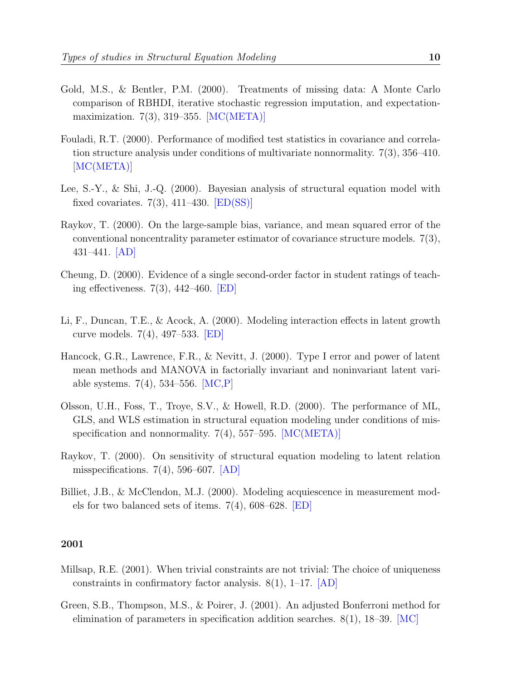- Gold, M.S., & Bentler, P.M. (2000). Treatments of missing data: A Monte Carlo comparison of RBHDI, iterative stochastic regression imputation, and expectationmaximization. 7(3), 319–355. [MC(META)]
- Fouladi, R.T. (2000). Performance of modified test statistics in covariance and correlation structure analysis under conditions of multivariate nonnormality. 7(3), 356–410. [MC(META)]
- Lee, S.-Y., & Shi, J.-Q. (2000). Bayesian analysis of structural equation model with fixed covariates.  $7(3)$ ,  $411-430$ .  $[ED(SS)]$
- Raykov, T. (2000). On the large-sample bias, variance, and mean squared error of the conventional noncentrality parameter estimator of covariance structure models. 7(3), 431–441. [AD]
- Cheung, D. (2000). Evidence of a single second-order factor in student ratings of teaching effectiveness. 7(3), 442–460. [ED]
- Li, F., Duncan, T.E., & Acock, A. (2000). Modeling interaction effects in latent growth curve models. 7(4), 497–533. [ED]
- Hancock, G.R., Lawrence, F.R., & Nevitt, J. (2000). Type I error and power of latent mean methods and MANOVA in factorially invariant and noninvariant latent variable systems.  $7(4)$ , 534–556. [MC,P]
- Olsson, U.H., Foss, T., Troye, S.V., & Howell, R.D. (2000). The performance of ML, GLS, and WLS estimation in structural equation modeling under conditions of misspecification and nonnormality.  $7(4)$ , 557–595. [MC(META)]
- Raykov, T. (2000). On sensitivity of structural equation modeling to latent relation misspecifications.  $7(4)$ , 596–607. [AD]
- Billiet, J.B., & McClendon, M.J. (2000). Modeling acquiescence in measurement models for two balanced sets of items. 7(4), 608–628. [ED]

- Millsap, R.E. (2001). When trivial constraints are not trivial: The choice of uniqueness constraints in confirmatory factor analysis.  $8(1)$ , 1–17. [AD]
- Green, S.B., Thompson, M.S., & Poirer, J. (2001). An adjusted Bonferroni method for elimination of parameters in specification addition searches. 8(1), 18–39. [MC]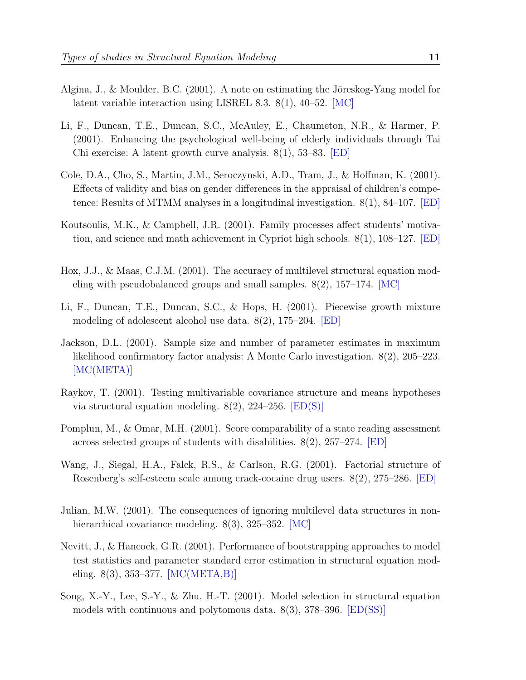- Algina, J., & Moulder, B.C.  $(2001)$ . A note on estimating the Jöreskog-Yang model for latent variable interaction using LISREL 8.3. 8(1), 40–52. [MC]
- Li, F., Duncan, T.E., Duncan, S.C., McAuley, E., Chaumeton, N.R., & Harmer, P. (2001). Enhancing the psychological well-being of elderly individuals through Tai Chi exercise: A latent growth curve analysis. 8(1), 53–83. [ED]
- Cole, D.A., Cho, S., Martin, J.M., Seroczynski, A.D., Tram, J., & Hoffman, K. (2001). Effects of validity and bias on gender differences in the appraisal of children's competence: Results of MTMM analyses in a longitudinal investigation. 8(1), 84–107. [ED]
- Koutsoulis, M.K., & Campbell, J.R. (2001). Family processes affect students' motivation, and science and math achievement in Cypriot high schools. 8(1), 108–127. [ED]
- Hox, J.J., & Maas, C.J.M. (2001). The accuracy of multilevel structural equation modeling with pseudobalanced groups and small samples.  $8(2)$ ,  $157-174$ . [MC]
- Li, F., Duncan, T.E., Duncan, S.C., & Hops, H. (2001). Piecewise growth mixture modeling of adolescent alcohol use data. 8(2), 175–204. [ED]
- Jackson, D.L. (2001). Sample size and number of parameter estimates in maximum likelihood confirmatory factor analysis: A Monte Carlo investigation. 8(2), 205–223. [MC(META)]
- Raykov, T. (2001). Testing multivariable covariance structure and means hypotheses via structural equation modeling. 8(2), 224–256. [ED(S)]
- Pomplun, M., & Omar, M.H. (2001). Score comparability of a state reading assessment across selected groups of students with disabilities.  $8(2)$ ,  $257-274$ . **ED**
- Wang, J., Siegal, H.A., Falck, R.S., & Carlson, R.G. (2001). Factorial structure of Rosenberg's self-esteem scale among crack-cocaine drug users. 8(2), 275–286. [ED]
- Julian, M.W. (2001). The consequences of ignoring multilevel data structures in nonhierarchical covariance modeling. 8(3), 325–352. [MC]
- Nevitt, J., & Hancock, G.R. (2001). Performance of bootstrapping approaches to model test statistics and parameter standard error estimation in structural equation modeling. 8(3), 353–377. [MC(META,B)]
- Song, X.-Y., Lee, S.-Y., & Zhu, H.-T. (2001). Model selection in structural equation models with continuous and polytomous data. 8(3), 378–396. [ED(SS)]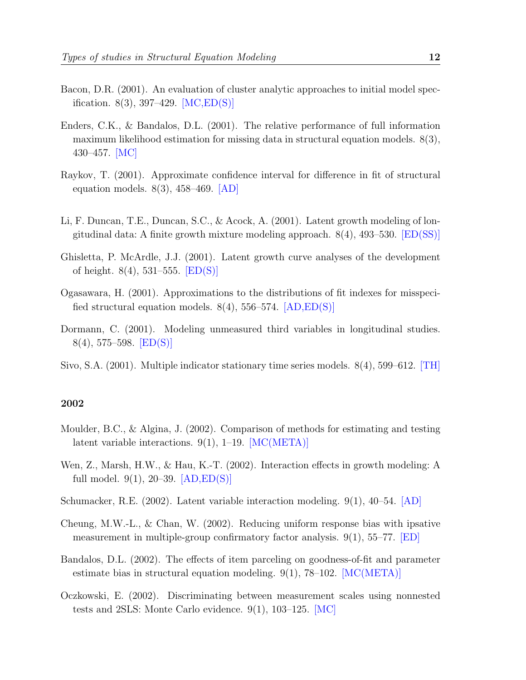- Bacon, D.R. (2001). An evaluation of cluster analytic approaches to initial model specification.  $8(3)$ , 397-429.  $[MC,ED(S)]$
- Enders, C.K., & Bandalos, D.L. (2001). The relative performance of full information maximum likelihood estimation for missing data in structural equation models. 8(3), 430–457. [MC]
- Raykov, T. (2001). Approximate confidence interval for difference in fit of structural equation models. 8(3), 458–469. [AD]
- Li, F. Duncan, T.E., Duncan, S.C., & Acock, A. (2001). Latent growth modeling of longitudinal data: A finite growth mixture modeling approach. 8(4), 493–530. [ED(SS)]
- Ghisletta, P. McArdle, J.J. (2001). Latent growth curve analyses of the development of height.  $8(4)$ , 531–555.  $|ED(S)|$
- Ogasawara, H. (2001). Approximations to the distributions of fit indexes for misspecified structural equation models.  $8(4)$ , 556–574.  $[AD,ED(S)]$
- Dormann, C. (2001). Modeling unmeasured third variables in longitudinal studies.  $8(4), 575-598.$   $|ED(S)|$
- Sivo, S.A. (2001). Multiple indicator stationary time series models. 8(4), 599–612. [TH]

- Moulder, B.C., & Algina, J. (2002). Comparison of methods for estimating and testing latent variable interactions. 9(1), 1–19. [MC(META)]
- Wen, Z., Marsh, H.W., & Hau, K.-T. (2002). Interaction effects in growth modeling: A full model.  $9(1)$ , 20–39.  $[AD,ED(S)]$
- Schumacker, R.E. (2002). Latent variable interaction modeling. 9(1), 40–54. [AD]
- Cheung, M.W.-L., & Chan, W. (2002). Reducing uniform response bias with ipsative measurement in multiple-group confirmatory factor analysis.  $9(1)$ , 55–77. [ED]
- Bandalos, D.L. (2002). The effects of item parceling on goodness-of-fit and parameter estimate bias in structural equation modeling.  $9(1)$ , 78–102. [MC(META)]
- Oczkowski, E. (2002). Discriminating between measurement scales using nonnested tests and 2SLS: Monte Carlo evidence. 9(1), 103–125. [MC]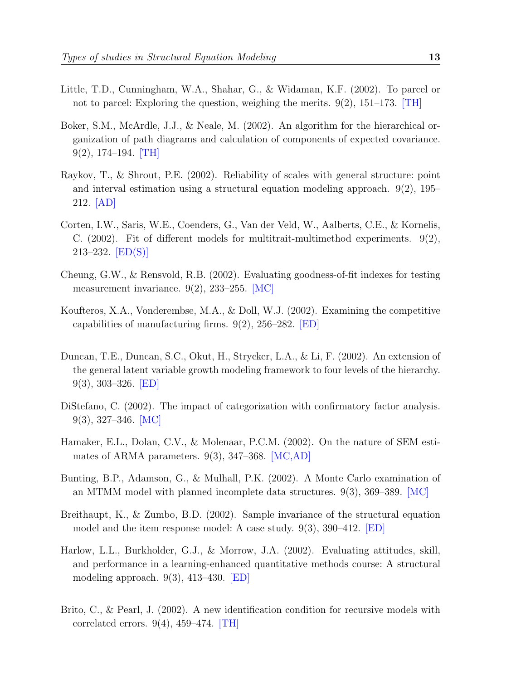- Little, T.D., Cunningham, W.A., Shahar, G., & Widaman, K.F. (2002). To parcel or not to parcel: Exploring the question, weighing the merits. 9(2), 151–173. [TH]
- Boker, S.M., McArdle, J.J., & Neale, M. (2002). An algorithm for the hierarchical organization of path diagrams and calculation of components of expected covariance. 9(2), 174–194. [TH]
- Raykov, T., & Shrout, P.E. (2002). Reliability of scales with general structure: point and interval estimation using a structural equation modeling approach. 9(2), 195– 212. [AD]
- Corten, I.W., Saris, W.E., Coenders, G., Van der Veld, W., Aalberts, C.E., & Kornelis, C.  $(2002)$ . Fit of different models for multitrait-multimethod experiments. 9(2),  $213-232.$   $[ED(S)]$
- Cheung, G.W., & Rensvold, R.B. (2002). Evaluating goodness-of-fit indexes for testing measurement invariance. 9(2), 233–255. [MC]
- Koufteros, X.A., Vonderembse, M.A., & Doll, W.J. (2002). Examining the competitive capabilities of manufacturing firms.  $9(2)$ ,  $256-282$ . **[ED]**
- Duncan, T.E., Duncan, S.C., Okut, H., Strycker, L.A., & Li, F. (2002). An extension of the general latent variable growth modeling framework to four levels of the hierarchy. 9(3), 303–326. [ED]
- Distefano, C. (2002). The impact of categorization with confirmatory factor analysis. 9(3), 327–346. [MC]
- Hamaker, E.L., Dolan, C.V., & Molenaar, P.C.M. (2002). On the nature of SEM estimates of ARMA parameters. 9(3), 347–368. [MC,AD]
- Bunting, B.P., Adamson, G., & Mulhall, P.K. (2002). A Monte Carlo examination of an MTMM model with planned incomplete data structures. 9(3), 369–389. [MC]
- Breithaupt, K., & Zumbo, B.D. (2002). Sample invariance of the structural equation model and the item response model: A case study.  $9(3)$ ,  $390-412$ . **ED**
- Harlow, L.L., Burkholder, G.J., & Morrow, J.A. (2002). Evaluating attitudes, skill, and performance in a learning-enhanced quantitative methods course: A structural modeling approach. 9(3), 413–430. [ED]
- Brito, C., & Pearl, J. (2002). A new identification condition for recursive models with correlated errors.  $9(4)$ ,  $459-474$ . [TH]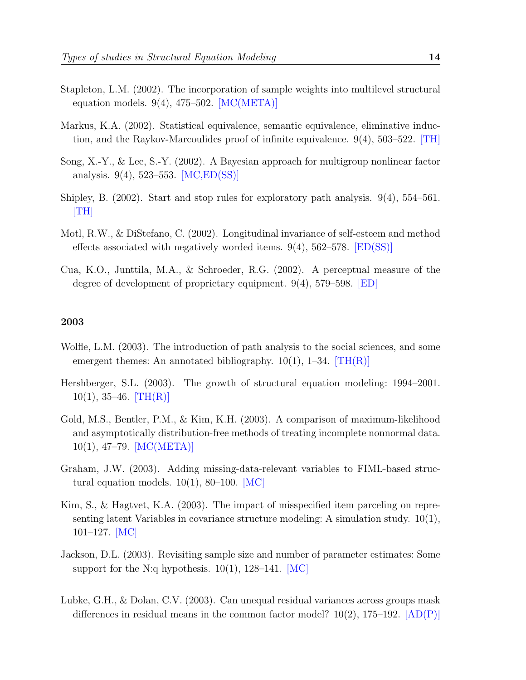- Stapleton, L.M. (2002). The incorporation of sample weights into multilevel structural equation models.  $9(4)$ ,  $475-502$ . [MC(META)]
- Markus, K.A. (2002). Statistical equivalence, semantic equivalence, eliminative induction, and the Raykov-Marcoulides proof of infinite equivalence. 9(4), 503–522. [TH]
- Song, X.-Y., & Lee, S.-Y. (2002). A Bayesian approach for multigroup nonlinear factor analysis. 9(4), 523–553. [MC,ED(SS)]
- Shipley, B. (2002). Start and stop rules for exploratory path analysis. 9(4), 554–561. [TH]
- Motl, R.W., & DiStefano, C. (2002). Longitudinal invariance of self-esteem and method effects associated with negatively worded items.  $9(4)$ ,  $562-578$ .  $[ED(SS)]$
- Cua, K.O., Junttila, M.A., & Schroeder, R.G. (2002). A perceptual measure of the degree of development of proprietary equipment. 9(4), 579–598. [ED]

- Wolfle, L.M. (2003). The introduction of path analysis to the social sciences, and some emergent themes: An annotated bibliography.  $10(1)$ , 1–34. [TH(R)]
- Hershberger, S.L. (2003). The growth of structural equation modeling: 1994–2001.  $10(1), 35-46.$  [TH(R)]
- Gold, M.S., Bentler, P.M., & Kim, K.H. (2003). A comparison of maximum-likelihood and asymptotically distribution-free methods of treating incomplete nonnormal data. 10(1), 47–79. [MC(META)]
- Graham, J.W. (2003). Adding missing-data-relevant variables to FIML-based structural equation models.  $10(1)$ , 80–100. [MC]
- Kim, S., & Hagtvet, K.A. (2003). The impact of misspecified item parceling on representing latent Variables in covariance structure modeling: A simulation study. 10(1), 101–127. [MC]
- Jackson, D.L. (2003). Revisiting sample size and number of parameter estimates: Some support for the N:q hypothesis.  $10(1)$ ,  $128-141$ .  $|MC|$
- Lubke, G.H., & Dolan, C.V. (2003). Can unequal residual variances across groups mask differences in residual means in the common factor model?  $10(2)$ ,  $175-192$ .  $[AD(P)]$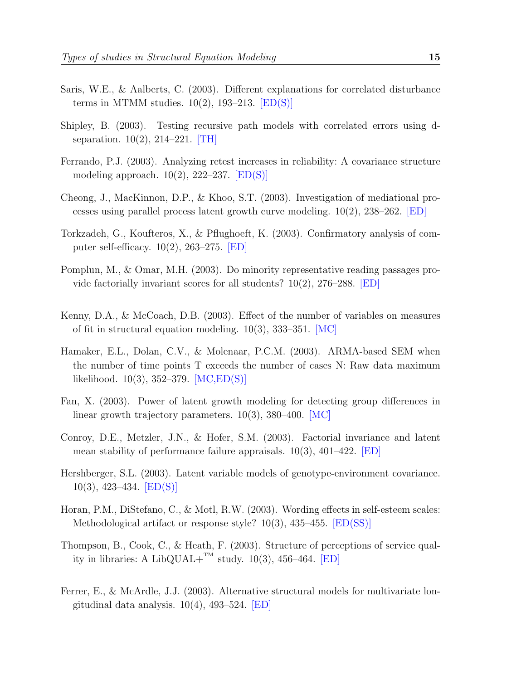- Saris, W.E., & Aalberts, C. (2003). Different explanations for correlated disturbance terms in MTMM studies.  $10(2)$ , 193-213.  $[ED(S)]$
- Shipley, B. (2003). Testing recursive path models with correlated errors using dseparation. 10(2), 214–221. [TH]
- Ferrando, P.J. (2003). Analyzing retest increases in reliability: A covariance structure modeling approach.  $10(2)$ , 222–237. [ED(S)]
- Cheong, J., MacKinnon, D.P., & Khoo, S.T. (2003). Investigation of mediational processes using parallel process latent growth curve modeling.  $10(2)$ ,  $238-262$ . [ED]
- Torkzadeh, G., Koufteros, X., & Pflughoeft, K. (2003). Confirmatory analysis of computer self-efficacy. 10(2), 263–275. [ED]
- Pomplun, M., & Omar, M.H. (2003). Do minority representative reading passages provide factorially invariant scores for all students?  $10(2)$ ,  $276-288$ . **[ED]**
- Kenny, D.A., & McCoach, D.B. (2003). Effect of the number of variables on measures of fit in structural equation modeling. 10(3), 333–351. [MC]
- Hamaker, E.L., Dolan, C.V., & Molenaar, P.C.M. (2003). ARMA-based SEM when the number of time points T exceeds the number of cases N: Raw data maximum likelihood. 10(3), 352–379. [MC,ED(S)]
- Fan, X. (2003). Power of latent growth modeling for detecting group differences in linear growth trajectory parameters. 10(3), 380–400. [MC]
- Conroy, D.E., Metzler, J.N., & Hofer, S.M. (2003). Factorial invariance and latent mean stability of performance failure appraisals.  $10(3)$ ,  $401-422$ . **[ED]**
- Hershberger, S.L. (2003). Latent variable models of genotype-environment covariance.  $10(3)$ , 423–434. [ED(S)]
- Horan, P.M., DiStefano, C., & Motl, R.W. (2003). Wording effects in self-esteem scales: Methodological artifact or response style? 10(3), 435–455. [ED(SS)]
- Thompson, B., Cook, C., & Heath, F. (2003). Structure of perceptions of service quality in libraries: A LibQUAL+ $T^M$  study. 10(3), 456-464. [ED]
- Ferrer, E., & McArdle, J.J. (2003). Alternative structural models for multivariate longitudinal data analysis.  $10(4)$ , 493–524. [ED]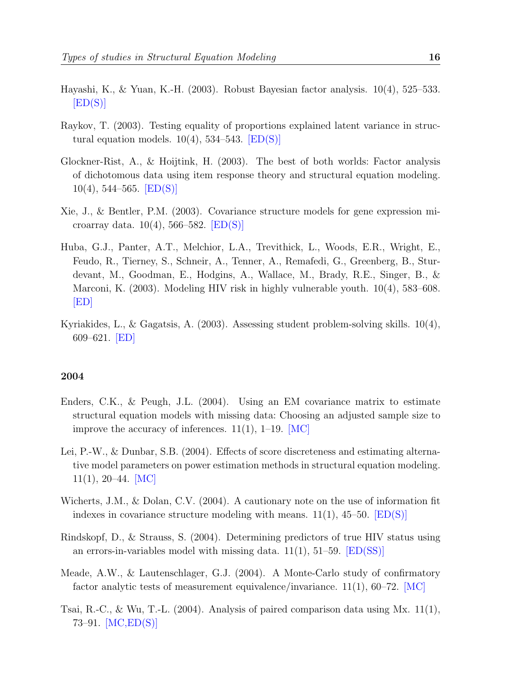- Hayashi, K., & Yuan, K.-H. (2003). Robust Bayesian factor analysis. 10(4), 525–533.  $[ED(S)]$
- Raykov, T. (2003). Testing equality of proportions explained latent variance in structural equation models.  $10(4)$ , 534–543. [ED(S)]
- Glockner-Rist, A., & Hoijtink, H. (2003). The best of both worlds: Factor analysis of dichotomous data using item response theory and structural equation modeling.  $10(4)$ , 544–565. [ED(S)]
- Xie, J., & Bentler, P.M. (2003). Covariance structure models for gene expression microarray data. 10(4), 566–582. [ED(S)]
- Huba, G.J., Panter, A.T., Melchior, L.A., Trevithick, L., Woods, E.R., Wright, E., Feudo, R., Tierney, S., Schneir, A., Tenner, A., Remafedi, G., Greenberg, B., Sturdevant, M., Goodman, E., Hodgins, A., Wallace, M., Brady, R.E., Singer, B., & Marconi, K. (2003). Modeling HIV risk in highly vulnerable youth. 10(4), 583–608. [ED]
- Kyriakides, L., & Gagatsis, A. (2003). Assessing student problem-solving skills. 10(4), 609–621. [ED]

- Enders, C.K., & Peugh, J.L. (2004). Using an EM covariance matrix to estimate structural equation models with missing data: Choosing an adjusted sample size to improve the accuracy of inferences.  $11(1)$ ,  $1-19$ . [MC]
- Lei, P.-W., & Dunbar, S.B. (2004). Effects of score discreteness and estimating alternative model parameters on power estimation methods in structural equation modeling.  $11(1), 20-44. \quad [MC]$
- Wicherts, J.M., & Dolan, C.V. (2004). A cautionary note on the use of information fit indexes in covariance structure modeling with means.  $11(1)$ ,  $45-50$ .  $[ED(S)]$
- Rindskopf, D., & Strauss, S. (2004). Determining predictors of true HIV status using an errors-in-variables model with missing data.  $11(1)$ ,  $51-59$ .  $|ED(SS)|$
- Meade, A.W., & Lautenschlager, G.J. (2004). A Monte-Carlo study of confirmatory factor analytic tests of measurement equivalence/invariance.  $11(1)$ , 60–72. [MC]
- Tsai, R.-C., & Wu, T.-L.  $(2004)$ . Analysis of paired comparison data using Mx. 11(1), 73–91. [MC,ED(S)]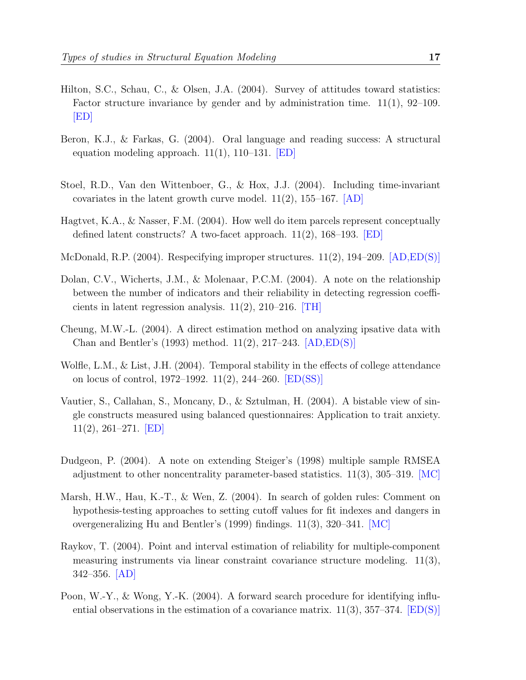- Hilton, S.C., Schau, C., & Olsen, J.A. (2004). Survey of attitudes toward statistics: Factor structure invariance by gender and by administration time.  $11(1)$ , 92–109. [ED]
- Beron, K.J., & Farkas, G. (2004). Oral language and reading success: A structural equation modeling approach.  $11(1)$ ,  $110-131$ . **[ED]**
- Stoel, R.D., Van den Wittenboer, G., & Hox, J.J. (2004). Including time-invariant covariates in the latent growth curve model.  $11(2)$ ,  $155-167$ .  $[AD]$
- Hagtvet, K.A., & Nasser, F.M. (2004). How well do item parcels represent conceptually defined latent constructs? A two-facet approach. 11(2), 168–193. [ED]
- McDonald, R.P. (2004). Respecifying improper structures.  $11(2)$ ,  $194-209$ .  $[AD,ED(S)]$
- Dolan, C.V., Wicherts, J.M., & Molenaar, P.C.M. (2004). A note on the relationship between the number of indicators and their reliability in detecting regression coefficients in latent regression analysis.  $11(2)$ ,  $210-216$ . **TH**
- Cheung, M.W.-L. (2004). A direct estimation method on analyzing ipsative data with Chan and Bentler's (1993) method. 11(2), 217–243. [AD,ED(S)]
- Wolfle, L.M., & List, J.H. (2004). Temporal stability in the effects of college attendance on locus of control, 1972–1992. 11(2), 244–260. [ED(SS)]
- Vautier, S., Callahan, S., Moncany, D., & Sztulman, H. (2004). A bistable view of single constructs measured using balanced questionnaires: Application to trait anxiety.  $11(2), 261-271.$  [ED]
- Dudgeon, P. (2004). A note on extending Steiger's (1998) multiple sample RMSEA adjustment to other noncentrality parameter-based statistics.  $11(3)$ ,  $305-319$ . [MC]
- Marsh, H.W., Hau, K.-T., & Wen, Z. (2004). In search of golden rules: Comment on hypothesis-testing approaches to setting cutoff values for fit indexes and dangers in overgeneralizing Hu and Bentler's (1999) findings. 11(3), 320–341. [MC]
- Raykov, T. (2004). Point and interval estimation of reliability for multiple-component measuring instruments via linear constraint covariance structure modeling. 11(3), 342–356. [AD]
- Poon, W.-Y., & Wong, Y.-K. (2004). A forward search procedure for identifying influential observations in the estimation of a covariance matrix.  $11(3)$ ,  $357-374$ .  $[ED(S)]$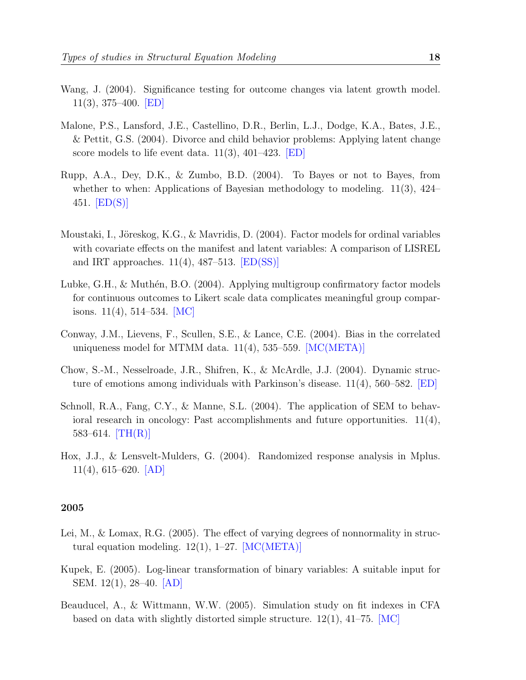- Wang, J. (2004). Significance testing for outcome changes via latent growth model. 11(3), 375–400. [ED]
- Malone, P.S., Lansford, J.E., Castellino, D.R., Berlin, L.J., Dodge, K.A., Bates, J.E., & Pettit, G.S. (2004). Divorce and child behavior problems: Applying latent change score models to life event data. 11(3), 401–423. [ED]
- Rupp, A.A., Dey, D.K., & Zumbo, B.D. (2004). To Bayes or not to Bayes, from whether to when: Applications of Bayesian methodology to modeling. 11(3), 424– 451.  $|ED(S)|$
- Moustaki, I., Jöreskog, K.G., & Mavridis, D. (2004). Factor models for ordinal variables with covariate effects on the manifest and latent variables: A comparison of LISREL and IRT approaches.  $11(4)$ ,  $487-513$ .  $|ED(SS)|$
- Lubke, G.H., & Muthén, B.O.  $(2004)$ . Applying multigroup confirmatory factor models for continuous outcomes to Likert scale data complicates meaningful group comparisons.  $11(4)$ ,  $514-534$ . [MC]
- Conway, J.M., Lievens, F., Scullen, S.E., & Lance, C.E. (2004). Bias in the correlated uniqueness model for MTMM data.  $11(4)$ , 535–559. [MC(META)]
- Chow, S.-M., Nesselroade, J.R., Shifren, K., & McArdle, J.J. (2004). Dynamic structure of emotions among individuals with Parkinson's disease. 11(4), 560–582. [ED]
- Schnoll, R.A., Fang, C.Y., & Manne, S.L. (2004). The application of SEM to behavioral research in oncology: Past accomplishments and future opportunities.  $11(4)$ , 583–614.  $[TH(R)]$
- Hox, J.J., & Lensvelt-Mulders, G. (2004). Randomized response analysis in Mplus. 11(4), 615–620. [AD]

- Lei, M., & Lomax, R.G. (2005). The effect of varying degrees of nonnormality in structural equation modeling.  $12(1)$ ,  $1-27$ . [MC(META)]
- Kupek, E. (2005). Log-linear transformation of binary variables: A suitable input for SEM. 12(1), 28–40. [AD]
- Beauducel, A., & Wittmann, W.W. (2005). Simulation study on fit indexes in CFA based on data with slightly distorted simple structure.  $12(1)$ ,  $41-75$ . [MC]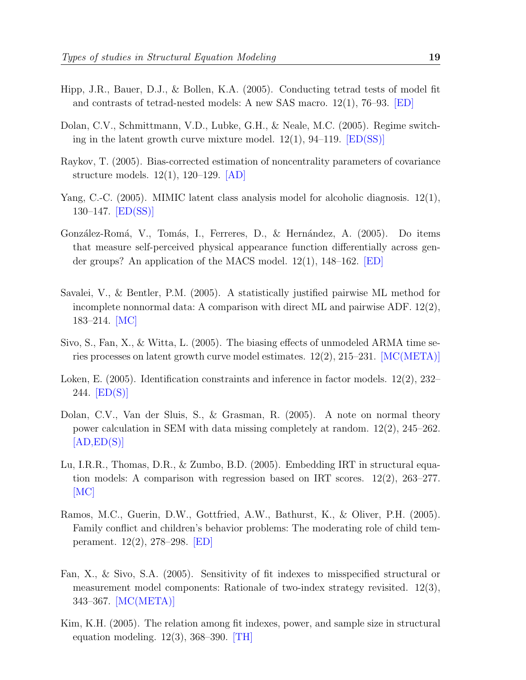- Hipp, J.R., Bauer, D.J., & Bollen, K.A. (2005). Conducting tetrad tests of model fit and contrasts of tetrad-nested models: A new SAS macro. 12(1), 76–93. [ED]
- Dolan, C.V., Schmittmann, V.D., Lubke, G.H., & Neale, M.C. (2005). Regime switching in the latent growth curve mixture model.  $12(1)$ ,  $94-119$ .  $[ED(SS)]$
- Raykov, T. (2005). Bias-corrected estimation of noncentrality parameters of covariance structure models. 12(1), 120–129. [AD]
- Yang, C.-C. (2005). MIMIC latent class analysis model for alcoholic diagnosis. 12(1), 130–147. [ED(SS)]
- González-Romá, V., Tomás, I., Ferreres, D., & Hernández, A. (2005). Do items that measure self-perceived physical appearance function differentially across gender groups? An application of the MACS model. 12(1), 148–162. [ED]
- Savalei, V., & Bentler, P.M. (2005). A statistically justified pairwise ML method for incomplete nonnormal data: A comparison with direct ML and pairwise ADF. 12(2), 183–214. [MC]
- Sivo, S., Fan, X., & Witta, L. (2005). The biasing effects of unmodeled ARMA time series processes on latent growth curve model estimates.  $12(2)$ ,  $215-231$ . [MC(META)]
- Loken, E. (2005). Identification constraints and inference in factor models. 12(2), 232– 244. [ED(S)]
- Dolan, C.V., Van der Sluis, S., & Grasman, R. (2005). A note on normal theory power calculation in SEM with data missing completely at random. 12(2), 245–262.  $[AD, ED(S)]$
- Lu, I.R.R., Thomas, D.R., & Zumbo, B.D. (2005). Embedding IRT in structural equation models: A comparison with regression based on IRT scores. 12(2), 263–277.  $|MC|$
- Ramos, M.C., Guerin, D.W., Gottfried, A.W., Bathurst, K., & Oliver, P.H. (2005). Family conflict and children's behavior problems: The moderating role of child temperament. 12(2), 278–298. [ED]
- Fan, X., & Sivo, S.A. (2005). Sensitivity of fit indexes to misspecified structural or measurement model components: Rationale of two-index strategy revisited. 12(3), 343–367. [MC(META)]
- Kim, K.H. (2005). The relation among fit indexes, power, and sample size in structural equation modeling.  $12(3)$ ,  $368-390$ . [TH]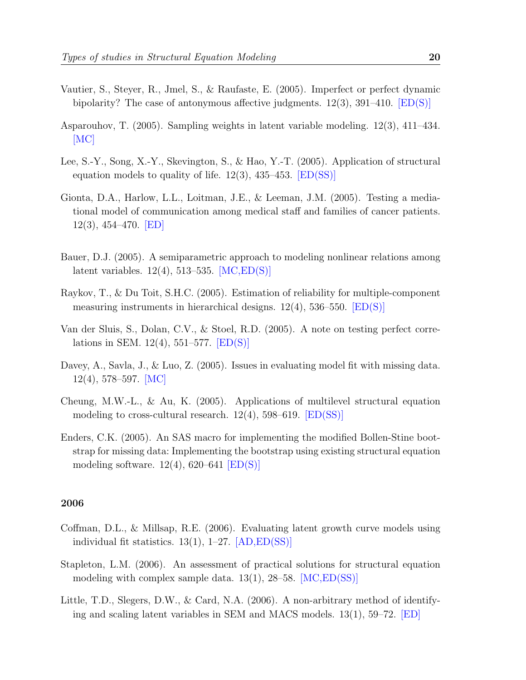- Vautier, S., Steyer, R., Jmel, S., & Raufaste, E. (2005). Imperfect or perfect dynamic bipolarity? The case of antonymous affective judgments.  $12(3)$ ,  $391-410$ . [ED(S)]
- Asparouhov, T. (2005). Sampling weights in latent variable modeling. 12(3), 411–434. [MC]
- Lee, S.-Y., Song, X.-Y., Skevington, S., & Hao, Y.-T. (2005). Application of structural equation models to quality of life.  $12(3)$ ,  $435-453$ .  $[ED(SS)]$
- Gionta, D.A., Harlow, L.L., Loitman, J.E., & Leeman, J.M. (2005). Testing a mediational model of communication among medical staff and families of cancer patients. 12(3), 454–470. [ED]
- Bauer, D.J. (2005). A semiparametric approach to modeling nonlinear relations among latent variables. 12(4), 513–535. [MC,ED(S)]
- Raykov, T., & Du Toit, S.H.C. (2005). Estimation of reliability for multiple-component measuring instruments in hierarchical designs.  $12(4)$ , 536–550. [ED(S)]
- Van der Sluis, S., Dolan, C.V., & Stoel, R.D. (2005). A note on testing perfect correlations in SEM. 12(4), 551–577.  $|ED(S)|$
- Davey, A., Savla, J., & Luo, Z. (2005). Issues in evaluating model fit with missing data. 12(4), 578–597. [MC]
- Cheung, M.W.-L., & Au, K. (2005). Applications of multilevel structural equation modeling to cross-cultural research.  $12(4)$ , 598–619. [ED(SS)]
- Enders, C.K. (2005). An SAS macro for implementing the modified Bollen-Stine bootstrap for missing data: Implementing the bootstrap using existing structural equation modeling software.  $12(4)$ ,  $620-641$  [ED(S)]

- Coffman, D.L., & Millsap, R.E. (2006). Evaluating latent growth curve models using individual fit statistics.  $13(1)$ ,  $1-27$ .  $[AD,ED(SS)]$
- Stapleton, L.M. (2006). An assessment of practical solutions for structural equation modeling with complex sample data.  $13(1)$ ,  $28-58$ .  $[MC,ED(SS)]$
- Little, T.D., Slegers, D.W., & Card, N.A. (2006). A non-arbitrary method of identifying and scaling latent variables in SEM and MACS models. 13(1), 59–72. [ED]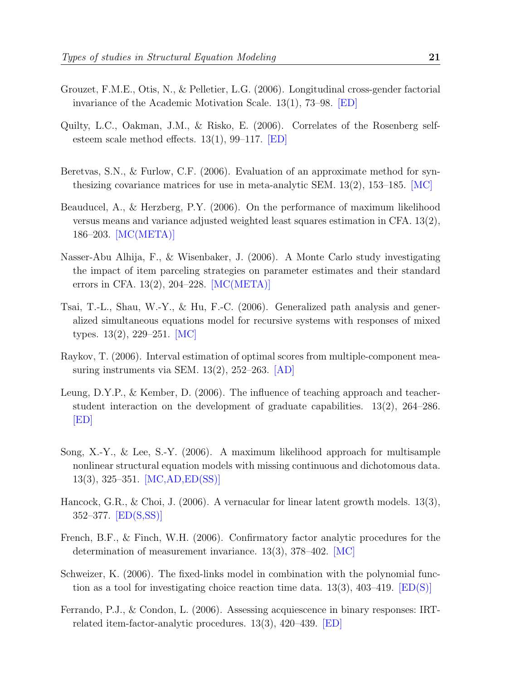- Grouzet, F.M.E., Otis, N., & Pelletier, L.G. (2006). Longitudinal cross-gender factorial invariance of the Academic Motivation Scale. 13(1), 73–98. [ED]
- Quilty, L.C., Oakman, J.M., & Risko, E. (2006). Correlates of the Rosenberg selfesteem scale method effects. 13(1), 99–117. [ED]
- Beretvas, S.N., & Furlow, C.F. (2006). Evaluation of an approximate method for synthesizing covariance matrices for use in meta-analytic SEM. 13(2), 153–185. [MC]
- Beauducel, A., & Herzberg, P.Y. (2006). On the performance of maximum likelihood versus means and variance adjusted weighted least squares estimation in CFA. 13(2), 186–203. [MC(META)]
- Nasser-Abu Alhija, F., & Wisenbaker, J. (2006). A Monte Carlo study investigating the impact of item parceling strategies on parameter estimates and their standard errors in CFA. 13(2), 204–228. [MC(META)]
- Tsai, T.-L., Shau, W.-Y., & Hu, F.-C. (2006). Generalized path analysis and generalized simultaneous equations model for recursive systems with responses of mixed types. 13(2), 229–251. [MC]
- Raykov, T. (2006). Interval estimation of optimal scores from multiple-component measuring instruments via SEM. 13(2), 252–263. [AD]
- Leung, D.Y.P., & Kember, D. (2006). The influence of teaching approach and teacherstudent interaction on the development of graduate capabilities. 13(2), 264–286. [ED]
- Song, X.-Y., & Lee, S.-Y. (2006). A maximum likelihood approach for multisample nonlinear structural equation models with missing continuous and dichotomous data. 13(3), 325–351. [MC,AD,ED(SS)]
- Hancock, G.R., & Choi, J. (2006). A vernacular for linear latent growth models. 13(3), 352–377. [ED(S,SS)]
- French, B.F., & Finch, W.H. (2006). Confirmatory factor analytic procedures for the determination of measurement invariance. 13(3), 378–402. [MC]
- Schweizer, K. (2006). The fixed-links model in combination with the polynomial function as a tool for investigating choice reaction time data.  $13(3)$ ,  $403-419$ . [ED(S)]
- Ferrando, P.J., & Condon, L. (2006). Assessing acquiescence in binary responses: IRTrelated item-factor-analytic procedures. 13(3), 420–439. [ED]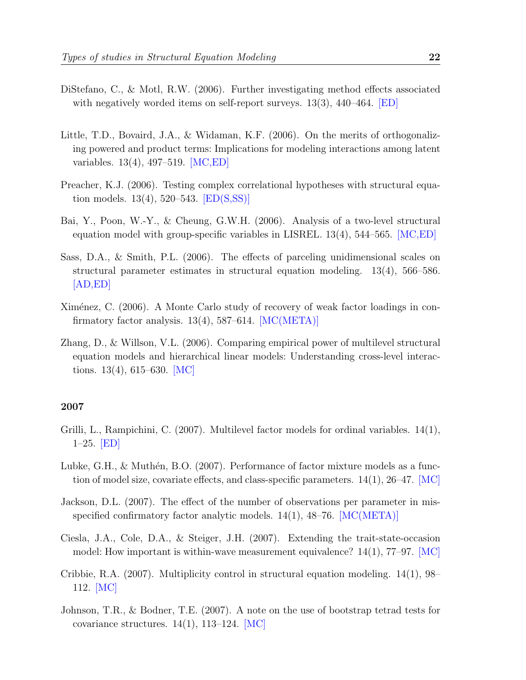- 
- DiStefano, C., & Motl, R.W. (2006). Further investigating method effects associated with negatively worded items on self-report surveys.  $13(3)$ ,  $440-464$ . [ED]
- Little, T.D., Bovaird, J.A., & Widaman, K.F. (2006). On the merits of orthogonalizing powered and product terms: Implications for modeling interactions among latent variables. 13(4), 497–519. [MC,ED]
- Preacher, K.J. (2006). Testing complex correlational hypotheses with structural equation models.  $13(4)$ ,  $520-543$ .  $|ED(S,SS)|$
- Bai, Y., Poon, W.-Y., & Cheung, G.W.H. (2006). Analysis of a two-level structural equation model with group-specific variables in LISREL. 13(4), 544–565. [MC,ED]
- Sass, D.A., & Smith, P.L. (2006). The effects of parceling unidimensional scales on structural parameter estimates in structural equation modeling. 13(4), 566–586.  $|AD,ED|$
- Ximénez, C. (2006). A Monte Carlo study of recovery of weak factor loadings in confirmatory factor analysis.  $13(4)$ , 587–614. [MC(META)]
- Zhang, D., & Willson, V.L. (2006). Comparing empirical power of multilevel structural equation models and hierarchical linear models: Understanding cross-level interactions.  $13(4)$ ,  $615-630$ . [MC]

- Grilli, L., Rampichini, C. (2007). Multilevel factor models for ordinal variables. 14(1), 1–25. [ED]
- Lubke, G.H.,  $\&$  Muthén, B.O. (2007). Performance of factor mixture models as a function of model size, covariate effects, and class-specific parameters.  $14(1)$ ,  $26-47$ . [MC]
- Jackson, D.L. (2007). The effect of the number of observations per parameter in misspecified confirmatory factor analytic models.  $14(1)$ ,  $48-76$ .  $[MC(META)]$
- Ciesla, J.A., Cole, D.A., & Steiger, J.H. (2007). Extending the trait-state-occasion model: How important is within-wave measurement equivalence?  $14(1)$ , 77–97. [MC]
- Cribbie, R.A. (2007). Multiplicity control in structural equation modeling. 14(1), 98– 112. [MC]
- Johnson, T.R., & Bodner, T.E. (2007). A note on the use of bootstrap tetrad tests for covariance structures.  $14(1)$ ,  $113-124$ . [MC]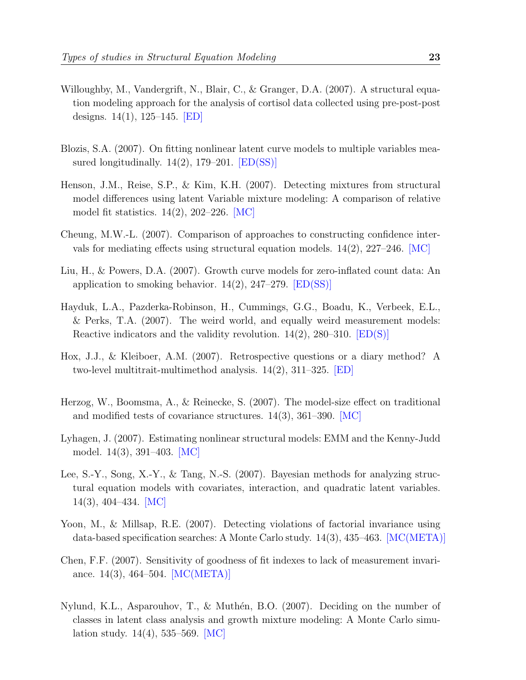- Willoughby, M., Vandergrift, N., Blair, C., & Granger, D.A. (2007). A structural equation modeling approach for the analysis of cortisol data collected using pre-post-post designs. 14(1), 125–145. [ED]
- Blozis, S.A. (2007). On fitting nonlinear latent curve models to multiple variables measured longitudinally.  $14(2)$ , 179–201.  $|ED(SS)|$
- Henson, J.M., Reise, S.P., & Kim, K.H. (2007). Detecting mixtures from structural model differences using latent Variable mixture modeling: A comparison of relative model fit statistics. 14(2), 202–226. [MC]
- Cheung, M.W.-L. (2007). Comparison of approaches to constructing confidence intervals for mediating effects using structural equation models.  $14(2)$ ,  $227-246$ .  $MC$
- Liu, H., & Powers, D.A. (2007). Growth curve models for zero-inflated count data: An application to smoking behavior.  $14(2)$ ,  $247-279$ . [ED(SS)]
- Hayduk, L.A., Pazderka-Robinson, H., Cummings, G.G., Boadu, K., Verbeek, E.L., & Perks, T.A. (2007). The weird world, and equally weird measurement models: Reactive indicators and the validity revolution.  $14(2)$ ,  $280-310$ .  $[ED(S)]$
- Hox, J.J., & Kleiboer, A.M. (2007). Retrospective questions or a diary method? A two-level multitrait-multimethod analysis. 14(2), 311–325. [ED]
- Herzog, W., Boomsma, A., & Reinecke, S. (2007). The model-size effect on traditional and modified tests of covariance structures. 14(3), 361–390. [MC]
- Lyhagen, J. (2007). Estimating nonlinear structural models: EMM and the Kenny-Judd model. 14(3), 391–403. [MC]
- Lee, S.-Y., Song, X.-Y., & Tang, N.-S. (2007). Bayesian methods for analyzing structural equation models with covariates, interaction, and quadratic latent variables. 14(3), 404–434. [MC]
- Yoon, M., & Millsap, R.E. (2007). Detecting violations of factorial invariance using data-based specification searches: A Monte Carlo study. 14(3), 435–463. [MC(META)]
- Chen, F.F. (2007). Sensitivity of goodness of fit indexes to lack of measurement invariance. 14(3), 464–504. [MC(META)]
- Nylund, K.L., Asparouhov, T.,  $\&$  Muthén, B.O. (2007). Deciding on the number of classes in latent class analysis and growth mixture modeling: A Monte Carlo simulation study. 14(4), 535–569. [MC]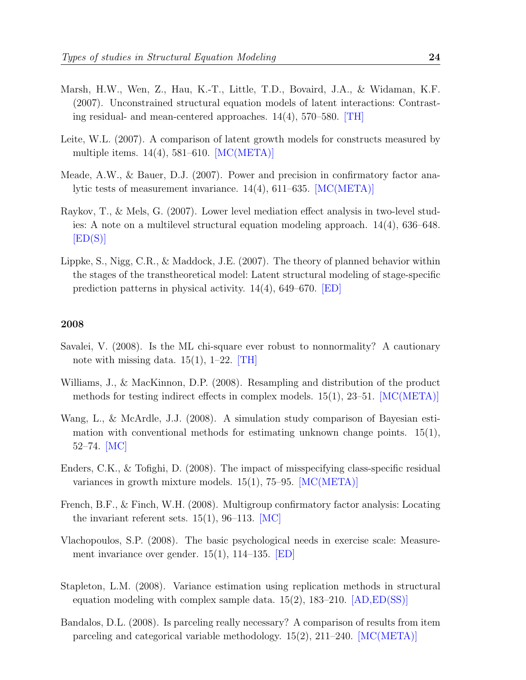- Marsh, H.W., Wen, Z., Hau, K.-T., Little, T.D., Bovaird, J.A., & Widaman, K.F. (2007). Unconstrained structural equation models of latent interactions: Contrasting residual- and mean-centered approaches. 14(4), 570–580. [TH]
- Leite, W.L. (2007). A comparison of latent growth models for constructs measured by multiple items.  $14(4)$ , 581–610. [MC(META)]
- Meade, A.W., & Bauer, D.J. (2007). Power and precision in confirmatory factor analytic tests of measurement invariance. 14(4), 611–635. [MC(META)]
- Raykov, T., & Mels, G. (2007). Lower level mediation effect analysis in two-level studies: A note on a multilevel structural equation modeling approach. 14(4), 636–648.  $[ED(S)]$
- Lippke, S., Nigg, C.R., & Maddock, J.E. (2007). The theory of planned behavior within the stages of the transtheoretical model: Latent structural modeling of stage-specific prediction patterns in physical activity.  $14(4)$ , 649–670. **[ED]**

- Savalei, V. (2008). Is the ML chi-square ever robust to nonnormality? A cautionary note with missing data.  $15(1)$ ,  $1-22$ . [TH]
- Williams, J., & MacKinnon, D.P. (2008). Resampling and distribution of the product methods for testing indirect effects in complex models.  $15(1)$ ,  $23-51$ .  $[MC(META)]$
- Wang, L., & McArdle, J.J. (2008). A simulation study comparison of Bayesian estimation with conventional methods for estimating unknown change points.  $15(1)$ , 52–74. [MC]
- Enders, C.K., & Tofighi, D. (2008). The impact of misspecifying class-specific residual variances in growth mixture models. 15(1), 75–95. [MC(META)]
- French, B.F., & Finch, W.H. (2008). Multigroup confirmatory factor analysis: Locating the invariant referent sets.  $15(1)$ , 96–113. [MC]
- Vlachopoulos, S.P. (2008). The basic psychological needs in exercise scale: Measurement invariance over gender. 15(1), 114–135. [ED]
- Stapleton, L.M. (2008). Variance estimation using replication methods in structural equation modeling with complex sample data.  $15(2)$ ,  $183-210$ . [AD, ED(SS)]
- Bandalos, D.L. (2008). Is parceling really necessary? A comparison of results from item parceling and categorical variable methodology.  $15(2)$ ,  $211-240$ . [MC(META)]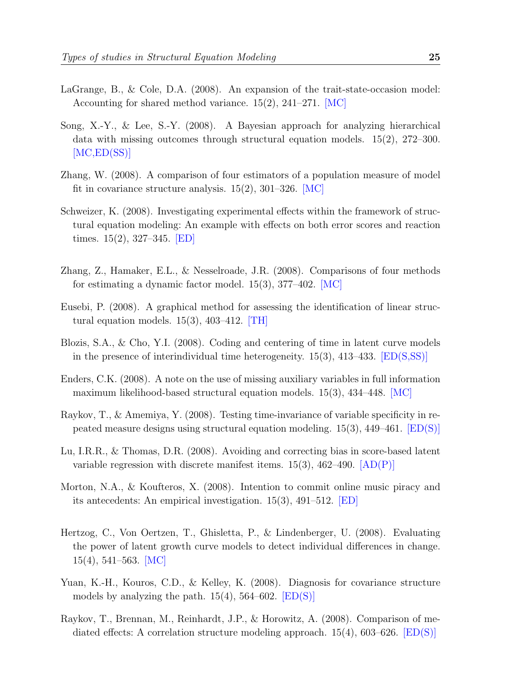- LaGrange, B., & Cole, D.A. (2008). An expansion of the trait-state-occasion model: Accounting for shared method variance. 15(2), 241–271. [MC]
- Song, X.-Y., & Lee, S.-Y. (2008). A Bayesian approach for analyzing hierarchical data with missing outcomes through structural equation models. 15(2), 272–300. [MC,ED(SS)]
- Zhang, W. (2008). A comparison of four estimators of a population measure of model fit in covariance structure analysis. 15(2), 301–326. [MC]
- Schweizer, K. (2008). Investigating experimental effects within the framework of structural equation modeling: An example with effects on both error scores and reaction times.  $15(2)$ ,  $327-345$ . **ED**
- Zhang, Z., Hamaker, E.L., & Nesselroade, J.R. (2008). Comparisons of four methods for estimating a dynamic factor model. 15(3), 377–402. [MC]
- Eusebi, P. (2008). A graphical method for assessing the identification of linear structural equation models.  $15(3)$ ,  $403-412$ . [TH]
- Blozis, S.A., & Cho, Y.I. (2008). Coding and centering of time in latent curve models in the presence of interindividual time heterogeneity.  $15(3)$ ,  $413-433$ . [ED(S,SS)]
- Enders, C.K. (2008). A note on the use of missing auxiliary variables in full information maximum likelihood-based structural equation models. 15(3), 434–448. [MC]
- Raykov, T., & Amemiya, Y. (2008). Testing time-invariance of variable specificity in repeated measure designs using structural equation modeling. 15(3), 449–461. [ED(S)]
- Lu, I.R.R., & Thomas, D.R. (2008). Avoiding and correcting bias in score-based latent variable regression with discrete manifest items.  $15(3)$ ,  $462-490$ .  $[AD(P)]$
- Morton, N.A., & Koufteros, X. (2008). Intention to commit online music piracy and its antecedents: An empirical investigation. 15(3), 491–512. [ED]
- Hertzog, C., Von Oertzen, T., Ghisletta, P., & Lindenberger, U. (2008). Evaluating the power of latent growth curve models to detect individual differences in change. 15(4), 541–563. [MC]
- Yuan, K.-H., Kouros, C.D., & Kelley, K. (2008). Diagnosis for covariance structure models by analyzing the path.  $15(4)$ ,  $564-602$ .  $[ED(S)]$
- Raykov, T., Brennan, M., Reinhardt, J.P., & Horowitz, A. (2008). Comparison of mediated effects: A correlation structure modeling approach.  $15(4)$ , 603–626. [ED(S)]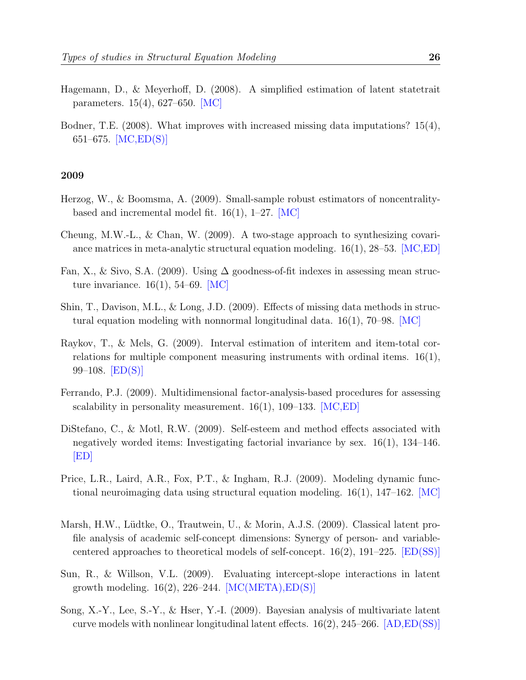- Hagemann, D., & Meyerhoff, D. (2008). A simplified estimation of latent statetrait parameters. 15(4), 627–650. [MC]
- Bodner, T.E. (2008). What improves with increased missing data imputations? 15(4), 651–675. [MC,ED(S)]

- Herzog, W., & Boomsma, A. (2009). Small-sample robust estimators of noncentralitybased and incremental model fit.  $16(1)$ ,  $1-27$ . [MC]
- Cheung, M.W.-L., & Chan, W. (2009). A two-stage approach to synthesizing covariance matrices in meta-analytic structural equation modeling.  $16(1)$ , 28–53. [MC,ED]
- Fan, X., & Sivo, S.A. (2009). Using  $\Delta$  goodness-of-fit indexes in assessing mean structure invariance.  $16(1)$ , 54–69. [MC]
- Shin, T., Davison, M.L., & Long, J.D. (2009). Effects of missing data methods in structural equation modeling with nonnormal longitudinal data. 16(1), 70–98. [MC]
- Raykov, T., & Mels, G. (2009). Interval estimation of interitem and item-total correlations for multiple component measuring instruments with ordinal items.  $16(1)$ , 99–108.  $[ED(S)]$
- Ferrando, P.J. (2009). Multidimensional factor-analysis-based procedures for assessing scalability in personality measurement.  $16(1)$ ,  $109-133$ . [MC,ED]
- DiStefano, C., & Motl, R.W. (2009). Self-esteem and method effects associated with negatively worded items: Investigating factorial invariance by sex. 16(1), 134–146. [ED]
- Price, L.R., Laird, A.R., Fox, P.T., & Ingham, R.J. (2009). Modeling dynamic functional neuroimaging data using structural equation modeling.  $16(1)$ ,  $147-162$ . [MC]
- Marsh, H.W., Lüdtke, O., Trautwein, U., & Morin, A.J.S. (2009). Classical latent profile analysis of academic self-concept dimensions: Synergy of person- and variablecentered approaches to theoretical models of self-concept. 16(2), 191–225. [ED(SS)]
- Sun, R., & Willson, V.L. (2009). Evaluating intercept-slope interactions in latent growth modeling.  $16(2)$ ,  $226-244$ . [MC(META), ED(S)]
- Song, X.-Y., Lee, S.-Y., & Hser, Y.-I. (2009). Bayesian analysis of multivariate latent curve models with nonlinear longitudinal latent effects.  $16(2)$ ,  $245-266$ .  $[AD,ED(SS)]$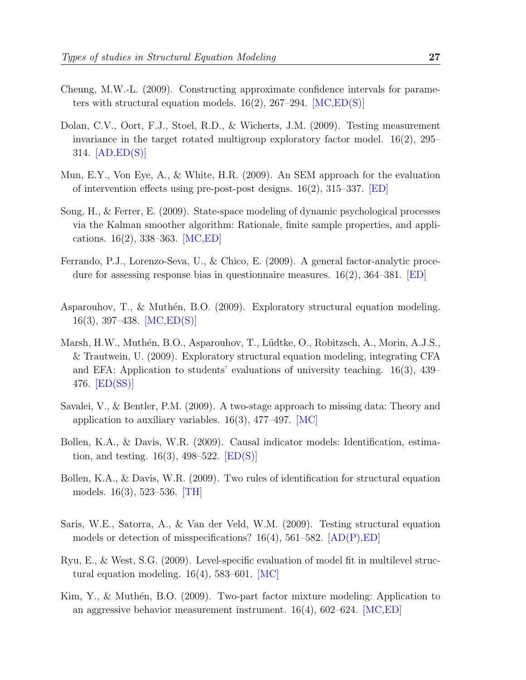- Cheung, M.W.-L. (2009). Constructing approximate confidence intervals for parameters with structural equation models.  $16(2)$ ,  $267-294$ . [MC,ED(S)]
- Dolan, C.V., Oort, F.J., Stoel, R.D., & Wicherts, J.M. (2009). Testing measurement invariance in the target rotated multigroup exploratory factor model.  $16(2)$ ,  $295-$ 314. [AD,ED(S)]
- Mun, E.Y., Von Eye, A., & White, H.R. (2009). An SEM approach for the evaluation of intervention effects using pre-post-post designs. 16(2), 315–337. [ED]
- Song, H., & Ferrer, E. (2009). State-space modeling of dynamic psychological processes via the Kalman smoother algorithm: Rationale, finite sample properties, and applications. 16(2), 338–363. [MC,ED]
- Ferrando, P.J., Lorenzo-Seva, U., & Chico, E. (2009). A general factor-analytic procedure for assessing response bias in questionnaire measures.  $16(2)$ ,  $364-381$ . **ED**
- Asparouhov, T.,  $\&$  Muthén, B.O. (2009). Exploratory structural equation modeling. 16(3), 397–438. [MC,ED(S)]
- Marsh, H.W., Muthén, B.O., Asparouhov, T., Lüdtke, O., Robitzsch, A., Morin, A.J.S., & Trautwein, U. (2009). Exploratory structural equation modeling, integrating CFA and EFA: Application to students' evaluations of university teaching. 16(3), 439– 476. [ED(SS)]
- Savalei, V., & Bentler, P.M. (2009). A two-stage approach to missing data: Theory and application to auxiliary variables.  $16(3)$ , 477–497. [MC]
- Bollen, K.A., & Davis, W.R. (2009). Causal indicator models: Identification, estimation, and testing.  $16(3)$ , 498–522. [ED(S)]
- Bollen, K.A., & Davis, W.R. (2009). Two rules of identification for structural equation models. 16(3), 523–536. [TH]
- Saris, W.E., Satorra, A., & Van der Veld, W.M. (2009). Testing structural equation models or detection of misspecifications?  $16(4)$ ,  $561-582$ .  $[AD(P),ED]$
- Ryu, E., & West, S.G. (2009). Level-specific evaluation of model fit in multilevel structural equation modeling.  $16(4)$ , 583–601. [MC]
- Kim, Y., & Muthén, B.O. (2009). Two-part factor mixture modeling: Application to an aggressive behavior measurement instrument.  $16(4)$ ,  $602-624$ . [MC, ED]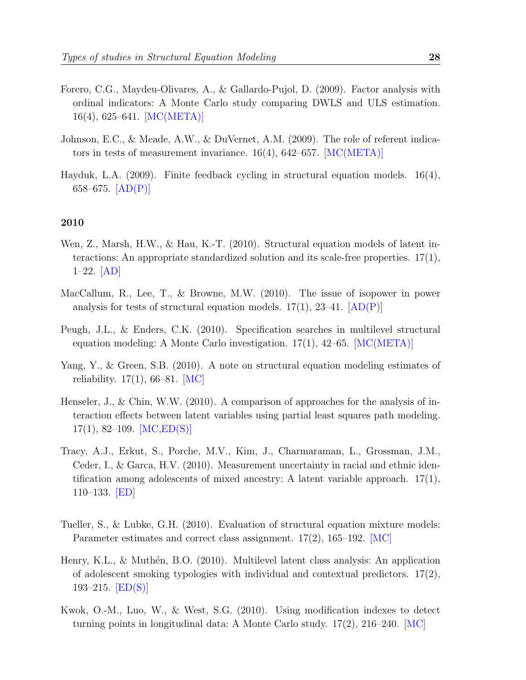- Forero, C.G., Maydeu-Olivares, A., & Gallardo-Pujol, D. (2009). Factor analysis with ordinal indicators: A Monte Carlo study comparing DWLS and ULS estimation. 16(4), 625–641. [MC(META)]
- Johnson, E.C., & Meade, A.W., & DuVernet, A.M. (2009). The role of referent indicators in tests of measurement invariance.  $16(4)$ ,  $642-657$ . [MC(META)]
- Hayduk, L.A. (2009). Finite feedback cycling in structural equation models. 16(4), 658–675.  $[AD(P)]$

- Wen, Z., Marsh, H.W., & Hau, K.-T. (2010). Structural equation models of latent interactions: An appropriate standardized solution and its scale-free properties. 17(1), 1–22. [AD]
- MacCallum, R., Lee, T., & Browne, M.W. (2010). The issue of isopower in power analysis for tests of structural equation models.  $17(1)$ ,  $23-41$ .  $[AD(P)]$
- Peugh, J.L., & Enders, C.K. (2010). Specification searches in multilevel structural equation modeling: A Monte Carlo investigation. 17(1), 42–65. [MC(META)]
- Yang, Y., & Green, S.B. (2010). A note on structural equation modeling estimates of reliability.  $17(1)$ , 66–81. [MC]
- Henseler, J., & Chin, W.W. (2010). A comparison of approaches for the analysis of interaction effects between latent variables using partial least squares path modeling.  $17(1), 82-109.$  [MC,ED(S)]
- Tracy, A.J., Erkut, S., Porche, M.V., Kim, J., Charmaraman, L., Grossman, J.M., Ceder, I., & Garca, H.V. (2010). Measurement uncertainty in racial and ethnic identification among adolescents of mixed ancestry: A latent variable approach.  $17(1)$ , 110–133. [ED]
- Tueller, S., & Lubke, G.H. (2010). Evaluation of structural equation mixture models: Parameter estimates and correct class assignment. 17(2), 165–192. [MC]
- Henry, K.L., & Muthén, B.O. (2010). Multilevel latent class analysis: An application of adolescent smoking typologies with individual and contextual predictors.  $17(2)$ , 193–215.  $[ED(S)]$
- Kwok, O.-M., Luo, W., & West, S.G. (2010). Using modification indexes to detect turning points in longitudinal data: A Monte Carlo study. 17(2), 216–240. [MC]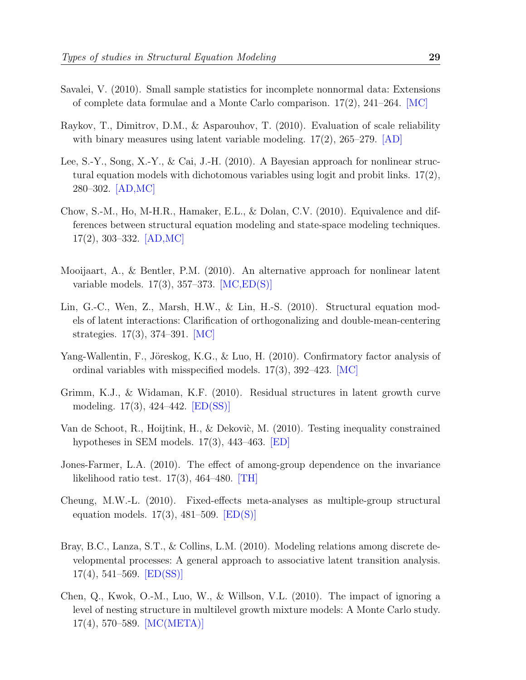- Savalei, V. (2010). Small sample statistics for incomplete nonnormal data: Extensions of complete data formulae and a Monte Carlo comparison. 17(2), 241–264. [MC]
- Raykov, T., Dimitrov, D.M., & Asparouhov, T. (2010). Evaluation of scale reliability with binary measures using latent variable modeling.  $17(2)$ ,  $265-279$ . [AD]
- Lee, S.-Y., Song, X.-Y., & Cai, J.-H. (2010). A Bayesian approach for nonlinear structural equation models with dichotomous variables using logit and probit links. 17(2), 280–302. [AD,MC]
- Chow, S.-M., Ho, M-H.R., Hamaker, E.L., & Dolan, C.V. (2010). Equivalence and differences between structural equation modeling and state-space modeling techniques. 17(2), 303–332. [AD,MC]
- Mooijaart, A., & Bentler, P.M. (2010). An alternative approach for nonlinear latent variable models. 17(3), 357–373. [MC,ED(S)]
- Lin, G.-C., Wen, Z., Marsh, H.W., & Lin, H.-S. (2010). Structural equation models of latent interactions: Clarification of orthogonalizing and double-mean-centering strategies. 17(3), 374–391. [MC]
- Yang-Wallentin, F., Jöreskog, K.G., & Luo, H. (2010). Confirmatory factor analysis of ordinal variables with misspecified models.  $17(3)$ ,  $392-423$ . [MC]
- Grimm, K.J., & Widaman, K.F. (2010). Residual structures in latent growth curve modeling. 17(3), 424–442. [ED(SS)]
- Van de Schoot, R., Hoijtink, H., & Dekovic, M. (2010). Testing inequality constrained hypotheses in SEM models. 17(3), 443–463. [ED]
- Jones-Farmer, L.A. (2010). The effect of among-group dependence on the invariance likelihood ratio test.  $17(3)$ ,  $464-480$ . [TH]
- Cheung, M.W.-L. (2010). Fixed-effects meta-analyses as multiple-group structural equation models.  $17(3)$ ,  $481-509$ .  $[ED(S)]$
- Bray, B.C., Lanza, S.T., & Collins, L.M. (2010). Modeling relations among discrete developmental processes: A general approach to associative latent transition analysis.  $17(4)$ , 541–569. [ED(SS)]
- Chen, Q., Kwok, O.-M., Luo, W., & Willson, V.L. (2010). The impact of ignoring a level of nesting structure in multilevel growth mixture models: A Monte Carlo study. 17(4), 570–589. [MC(META)]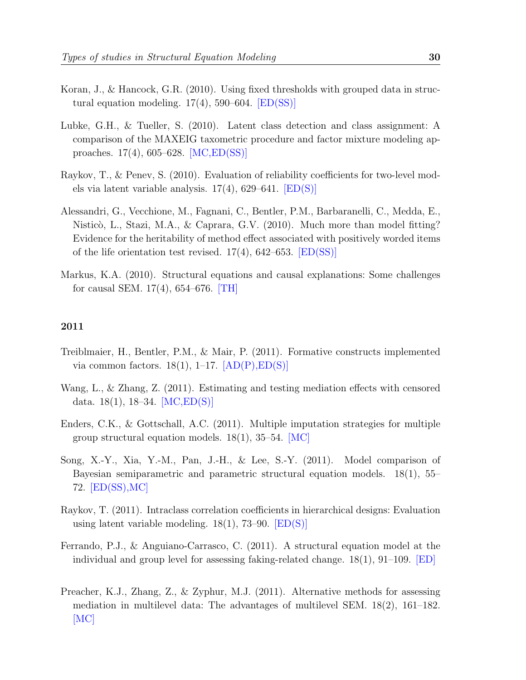- Koran, J., & Hancock, G.R. (2010). Using fixed thresholds with grouped data in structural equation modeling.  $17(4)$ , 590–604.  $[ED(SS)]$
- Lubke, G.H., & Tueller, S. (2010). Latent class detection and class assignment: A comparison of the MAXEIG taxometric procedure and factor mixture modeling approaches. 17(4), 605–628. [MC,ED(SS)]
- Raykov, T., & Penev, S. (2010). Evaluation of reliability coefficients for two-level models via latent variable analysis. 17(4), 629–641. [ED(S)]
- Alessandri, G., Vecchione, M., Fagnani, C., Bentler, P.M., Barbaranelli, C., Medda, E., Nisticò, L., Stazi, M.A., & Caprara, G.V. (2010). Much more than model fitting? Evidence for the heritability of method effect associated with positively worded items of the life orientation test revised.  $17(4)$ ,  $642-653$ .  $[ED(SS)]$
- Markus, K.A. (2010). Structural equations and causal explanations: Some challenges for causal SEM. 17(4), 654–676. [TH]

- Treiblmaier, H., Bentler, P.M., & Mair, P. (2011). Formative constructs implemented via common factors.  $18(1)$ ,  $1-17$ .  $[AD(P),ED(S)]$
- Wang, L., & Zhang, Z. (2011). Estimating and testing mediation effects with censored data. 18(1), 18–34. [MC,ED(S)]
- Enders, C.K., & Gottschall, A.C. (2011). Multiple imputation strategies for multiple group structural equation models.  $18(1)$ ,  $35-54$ . [MC]
- Song, X.-Y., Xia, Y.-M., Pan, J.-H., & Lee, S.-Y. (2011). Model comparison of Bayesian semiparametric and parametric structural equation models. 18(1), 55– 72. [ED(SS),MC]
- Raykov, T. (2011). Intraclass correlation coefficients in hierarchical designs: Evaluation using latent variable modeling.  $18(1)$ , 73–90.  $[ED(S)]$
- Ferrando, P.J., & Anguiano-Carrasco, C. (2011). A structural equation model at the individual and group level for assessing faking-related change.  $18(1)$ ,  $91-109$ . [ED]
- Preacher, K.J., Zhang, Z., & Zyphur, M.J. (2011). Alternative methods for assessing mediation in multilevel data: The advantages of multilevel SEM. 18(2), 161–182. [MC]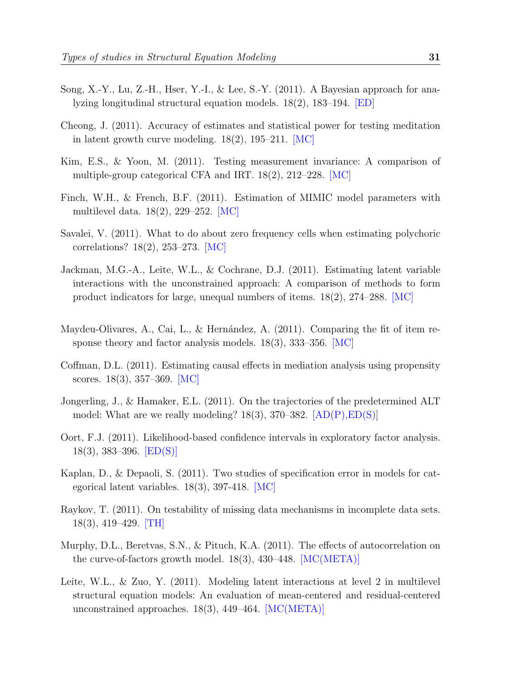- Song, X.-Y., Lu, Z.-H., Hser, Y.-I., & Lee, S.-Y. (2011). A Bayesian approach for analyzing longitudinal structural equation models. 18(2), 183–194. [ED]
- Cheong, J. (2011). Accuracy of estimates and statistical power for testing meditation in latent growth curve modeling.  $18(2)$ ,  $195-211$ . [MC]
- Kim, E.S., & Yoon, M. (2011). Testing measurement invariance: A comparison of multiple-group categorical CFA and IRT. 18(2), 212–228. [MC]
- Finch, W.H., & French, B.F. (2011). Estimation of MIMIC model parameters with multilevel data. 18(2), 229–252. [MC]
- Savalei, V. (2011). What to do about zero frequency cells when estimating polychoric correlations? 18(2), 253–273. [MC]
- Jackman, M.G.-A., Leite, W.L., & Cochrane, D.J. (2011). Estimating latent variable interactions with the unconstrained approach: A comparison of methods to form product indicators for large, unequal numbers of items. 18(2), 274–288. [MC]
- Maydeu-Olivares, A., Cai, L., & Hernández, A.  $(2011)$ . Comparing the fit of item response theory and factor analysis models.  $18(3)$ ,  $333-356$ .  $[MC]$
- Coffman, D.L. (2011). Estimating causal effects in mediation analysis using propensity scores. 18(3), 357–369. [MC]
- Jongerling, J., & Hamaker, E.L. (2011). On the trajectories of the predetermined ALT model: What are we really modeling?  $18(3)$ ,  $370-382$ .  $[AD(P),ED(S)]$
- Oort, F.J. (2011). Likelihood-based confidence intervals in exploratory factor analysis.  $18(3)$ , 383–396. [ED(S)]
- Kaplan, D., & Depaoli, S. (2011). Two studies of specification error in models for categorical latent variables. 18(3), 397-418. [MC]
- Raykov, T. (2011). On testability of missing data mechanisms in incomplete data sets. 18(3), 419–429. [TH]
- Murphy, D.L., Beretvas, S.N., & Pituch, K.A. (2011). The effects of autocorrelation on the curve-of-factors growth model. 18(3), 430–448. [MC(META)]
- Leite, W.L., & Zuo, Y. (2011). Modeling latent interactions at level 2 in multilevel structural equation models: An evaluation of mean-centered and residual-centered unconstrained approaches.  $18(3)$ ,  $449-464$ . [MC(META)]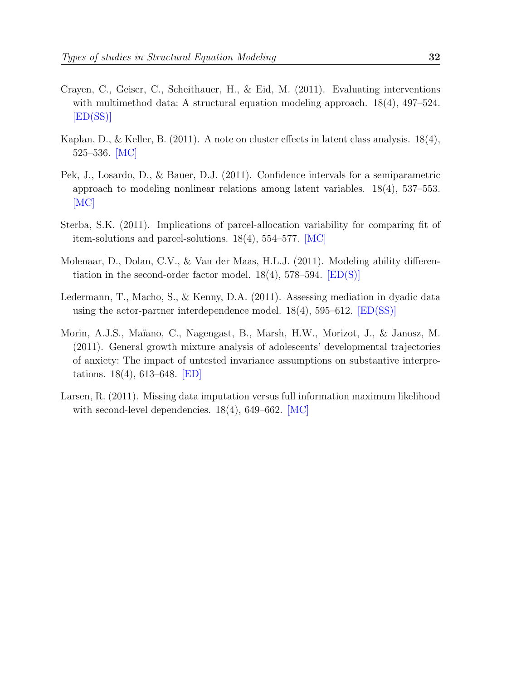- Crayen, C., Geiser, C., Scheithauer, H., & Eid, M. (2011). Evaluating interventions with multimethod data: A structural equation modeling approach. 18(4), 497–524.  $[ED(SS)]$
- Kaplan, D., & Keller, B. (2011). A note on cluster effects in latent class analysis. 18(4), 525–536. [MC]
- Pek, J., Losardo, D., & Bauer, D.J. (2011). Confidence intervals for a semiparametric approach to modeling nonlinear relations among latent variables. 18(4), 537–553.  $|MC|$
- Sterba, S.K. (2011). Implications of parcel-allocation variability for comparing fit of item-solutions and parcel-solutions. 18(4), 554–577. [MC]
- Molenaar, D., Dolan, C.V., & Van der Maas, H.L.J. (2011). Modeling ability differentiation in the second-order factor model.  $18(4)$ ,  $578-594$ .  $[ED(S)]$
- Ledermann, T., Macho, S., & Kenny, D.A. (2011). Assessing mediation in dyadic data using the actor-partner interdependence model.  $18(4)$ , 595–612. [ED(SS)]
- Morin, A.J.S., Ma¨ıano, C., Nagengast, B., Marsh, H.W., Morizot, J., & Janosz, M. (2011). General growth mixture analysis of adolescents' developmental trajectories of anxiety: The impact of untested invariance assumptions on substantive interpretations. 18(4), 613–648. [ED]
- Larsen, R. (2011). Missing data imputation versus full information maximum likelihood with second-level dependencies.  $18(4)$ , 649–662. [MC]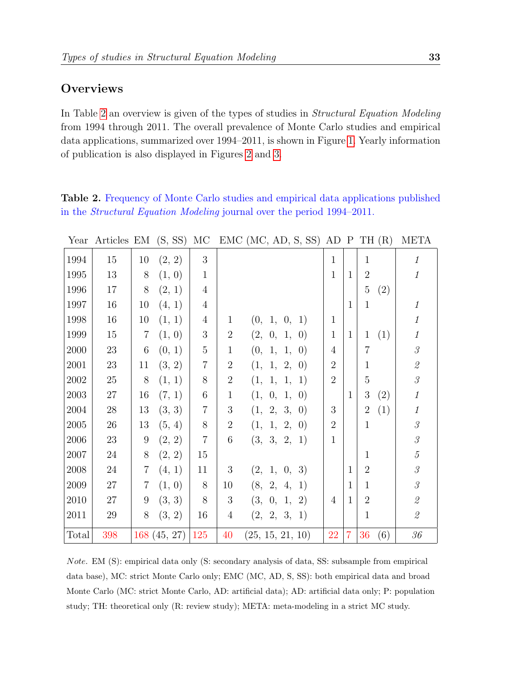# **Overviews**

In Table [2](#page-33-0) an overview is given of the types of studies in Structural Equation Modeling from 1994 through 2011. The overall prevalence of Monte Carlo studies and empirical data applications, summarized over 1994–2011, is shown in Figure [1.](#page-34-0) Yearly information of publication is also displayed in Figures [2](#page-35-0) and [3.](#page-36-0)

<span id="page-33-0"></span>Table 2. Frequency of Monte Carlo studies and empirical data applications published in the Structural Equation Modeling journal over the period 1994–2011.

| Year       | Articles EM (S, SS) |                  |             | МC              |                 | $EMC$ (MC, AD, S, SS) AD P TH $(R)$ |                |                |                       | <b>META</b>                                               |
|------------|---------------------|------------------|-------------|-----------------|-----------------|-------------------------------------|----------------|----------------|-----------------------|-----------------------------------------------------------|
| 1994       | 15                  | 10               | (2, 2)      | 3               |                 |                                     | $\mathbf{1}$   |                | $\mathbf{1}$          | $\mathcal{I}$                                             |
| 1995       | 13                  | $8\,$            | (1, 0)      | $\mathbf{1}$    |                 |                                     | $\mathbf{1}$   | $\mathbf{1}$   | $\overline{2}$        | $\mathbf{1}$                                              |
| 1996       | 17                  | 8                | (2, 1)      | $\overline{4}$  |                 |                                     |                |                | $\overline{5}$<br>(2) |                                                           |
| 1997       | 16                  | 10               | (4, 1)      | $\overline{4}$  |                 |                                     |                | $\mathbf{1}$   | $\mathbf{1}$          | $\mathcal{I}$                                             |
| 1998       | 16                  | 10               | (1, 1)      | 4               | $\mathbf{1}$    | (0, 1, 0, 1)                        | $\mathbf{1}$   |                |                       | $\mathcal{I}$                                             |
| 1999       | 15                  | $\overline{7}$   | (1, 0)      | $\sqrt{3}$      | $\sqrt{2}$      | (2, 0, 1,<br>$\vert 0)$             | $\mathbf{1}$   | $\mathbf{1}$   | (1)<br>$\mathbf{1}$   | $\mathcal{I}$                                             |
| 2000       | $23\,$              | $6\phantom{.}6$  | (0, 1)      | $\bf 5$         | $\mathbf{1}$    | (0, 1, 1, 0)                        | $\overline{4}$ |                | $\overline{7}$        | $\mathcal{S}$                                             |
| 2001       | 23                  | 11               | (3, 2)      | $\overline{7}$  | $\overline{2}$  | (1, 1, 2, 0)                        | $\overline{2}$ |                | $\mathbf{1}$          | $\mathcal{Q}% _{M_{1},M_{2}}^{\alpha,\beta}(\varepsilon)$ |
| $\,2002\,$ | $25\,$              | 8                | (1, 1)      | $8\,$           | $\sqrt{2}$      | (1, 1, 1,<br><sup>1</sup>           | $\overline{2}$ |                | $\overline{5}$        | $\mathcal G$                                              |
| 2003       | $27\,$              | 16               | (7, 1)      | $6\phantom{.}6$ | $\mathbf{1}$    | (1, 0, 1,<br>$\vert 0)$             |                | $\mathbf{1}$   | 3<br>(2)              | $\mathcal{I}$                                             |
| 2004       | $28\,$              | 13               | (3, 3)      | 7               | $\sqrt{3}$      | (1, 2, 3, 0)                        | 3              |                | $\overline{2}$<br>(1) | $\mathcal{I}$                                             |
| 2005       | $26\,$              | 13               | (5, 4)      | $8\,$           | $\overline{2}$  | (1, 1, 2, 0)                        | $\overline{2}$ |                | $\mathbf{1}$          | $\mathcal S$                                              |
| 2006       | 23                  | $\boldsymbol{9}$ | (2, 2)      | $\,7$           | $6\phantom{.}6$ | (3, 3, 2, 1)                        | $\mathbf{1}$   |                |                       | $\mathcal S$                                              |
| 2007       | 24                  | 8                | (2, 2)      | 15              |                 |                                     |                |                | 1                     | $\overline{5}$                                            |
| 2008       | 24                  | 7                | (4, 1)      | 11              | 3               | (2, 1, 0, 3)                        |                | $\mathbf{1}$   | $\overline{2}$        | $\mathcal S$                                              |
| 2009       | $27\,$              | 7                | (1, 0)      | 8               | 10              | (8, 2, 4, 1)                        |                | $\mathbf{1}$   | $\mathbf{1}$          | $\mathcal G$                                              |
| 2010       | 27                  | 9                | (3, 3)      | $8\,$           | $\mathfrak{Z}$  | (3, 0, 1, 2)                        | $\overline{4}$ | $\mathbf{1}$   | $\overline{2}$        | $\mathcal{Q}% _{M_{1},M_{2}}^{\alpha,\beta}(\varepsilon)$ |
| 2011       | $29\,$              | 8                | (3, 2)      | 16              | $\overline{4}$  | (2, 2, 3, 1)                        |                |                | $\mathbf{1}$          | $\mathcal{Q}% _{M_{1},M_{2}}^{\alpha,\beta}(\varepsilon)$ |
| Total      | 398                 |                  | 168(45, 27) | 125             | 40              | (25, 15, 21, 10)                    | 22             | $\overline{7}$ | 36<br>(6)             | 36                                                        |

Note. EM (S): empirical data only (S: secondary analysis of data, SS: subsample from empirical data base), MC: strict Monte Carlo only; EMC (MC, AD, S, SS): both empirical data and broad Monte Carlo (MC: strict Monte Carlo, AD: artificial data); AD: artificial data only; P: population study; TH: theoretical only (R: review study); META: meta-modeling in a strict MC study.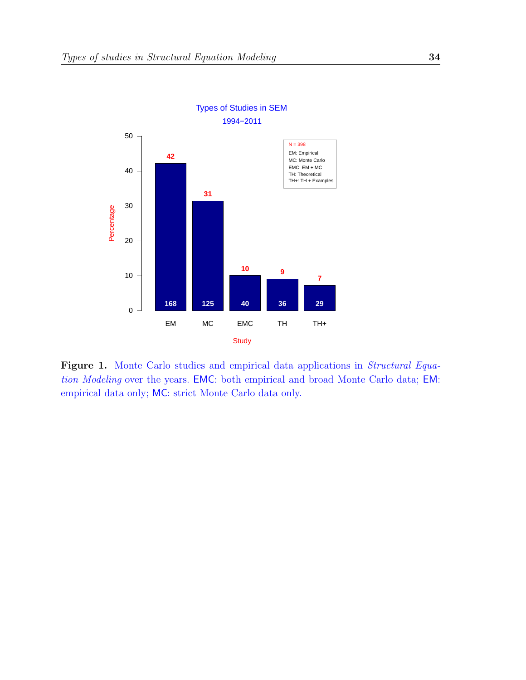

<span id="page-34-0"></span>Figure 1. Monte Carlo studies and empirical data applications in Structural Equation Modeling over the years. EMC: both empirical and broad Monte Carlo data; EM: empirical data only; MC: strict Monte Carlo data only.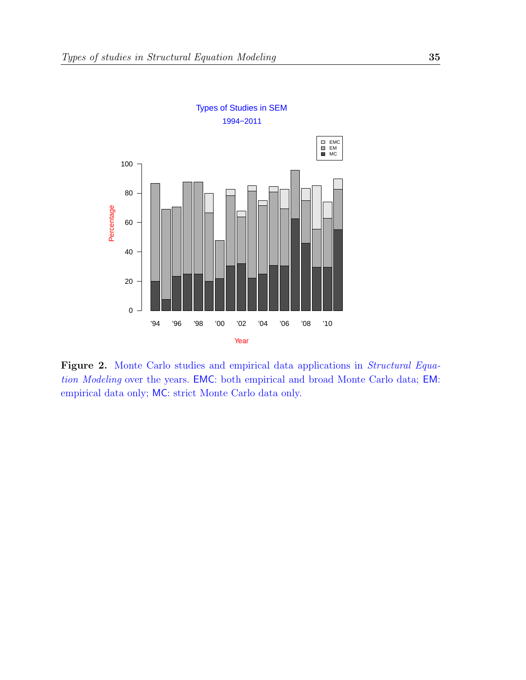

<span id="page-35-0"></span>Figure 2. Monte Carlo studies and empirical data applications in Structural Equation Modeling over the years. EMC: both empirical and broad Monte Carlo data; EM: empirical data only; MC: strict Monte Carlo data only.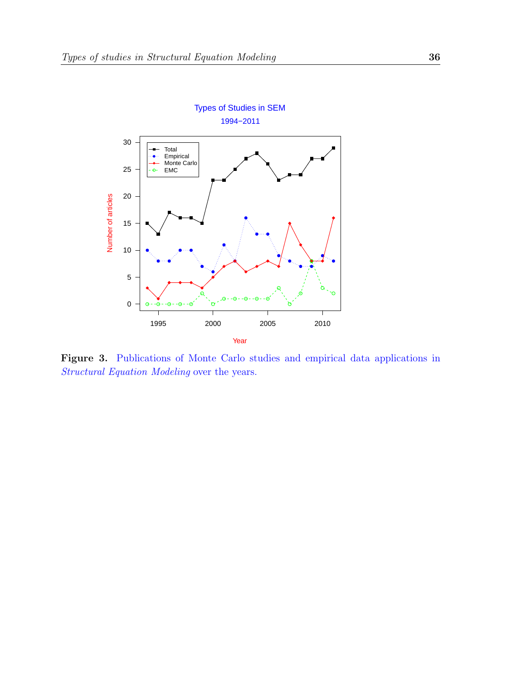

<span id="page-36-0"></span>Figure 3. Publications of Monte Carlo studies and empirical data applications in Structural Equation Modeling over the years.